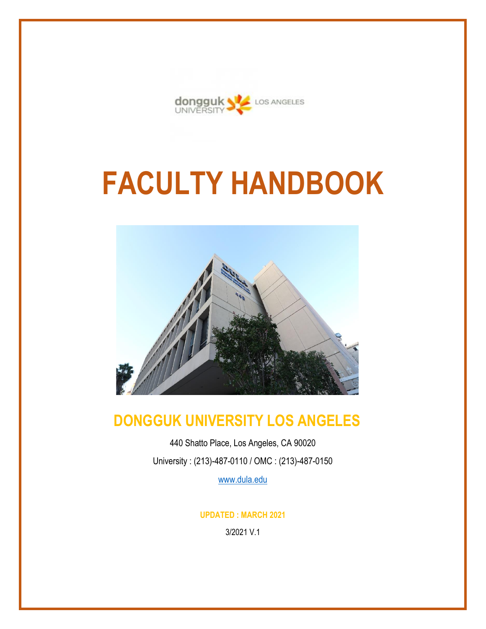

# **FACULTY HANDBOOK**



# **DONGGUK UNIVERSITY LOS ANGELES**

440 Shatto Place, Los Angeles, CA 90020 University : (213)-487-0110 / OMC : (213)-487-0150

[www.dula.edu](http://www.dula.edu/)

**UPDATED : MARCH 2021**

3/2021 V.1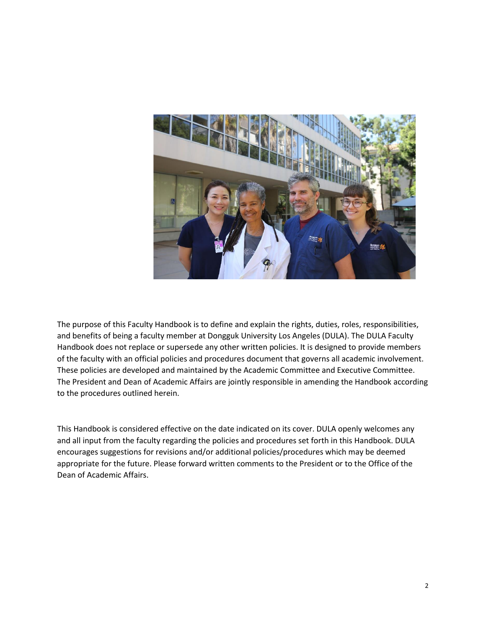

The purpose of this Faculty Handbook is to define and explain the rights, duties, roles, responsibilities, and benefits of being a faculty member at Dongguk University Los Angeles (DULA). The DULA Faculty Handbook does not replace or supersede any other written policies. It is designed to provide members of the faculty with an official policies and procedures document that governs all academic involvement. These policies are developed and maintained by the Academic Committee and Executive Committee. The President and Dean of Academic Affairs are jointly responsible in amending the Handbook according to the procedures outlined herein.

This Handbook is considered effective on the date indicated on its cover. DULA openly welcomes any and all input from the faculty regarding the policies and procedures set forth in this Handbook. DULA encourages suggestions for revisions and/or additional policies/procedures which may be deemed appropriate for the future. Please forward written comments to the President or to the Office of the Dean of Academic Affairs.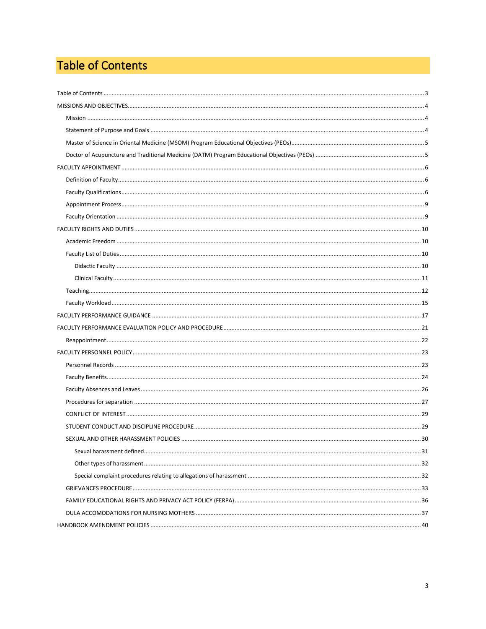## <span id="page-2-0"></span>Table of Contents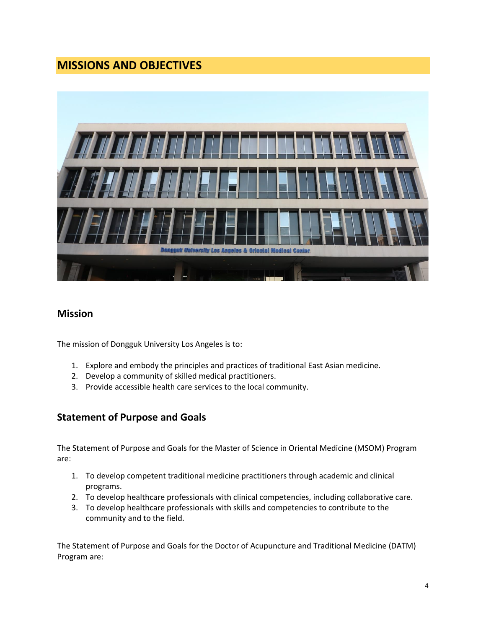## <span id="page-3-0"></span>**MISSIONS AND OBJECTIVES**



## <span id="page-3-1"></span>**Mission**

The mission of Dongguk University Los Angeles is to:

- 1. Explore and embody the principles and practices of traditional East Asian medicine.
- 2. Develop a community of skilled medical practitioners.
- 3. Provide accessible health care services to the local community.

## <span id="page-3-2"></span>**Statement of Purpose and Goals**

The Statement of Purpose and Goals for the Master of Science in Oriental Medicine (MSOM) Program are:

- 1. To develop competent traditional medicine practitioners through academic and clinical programs.
- 2. To develop healthcare professionals with clinical competencies, including collaborative care.
- 3. To develop healthcare professionals with skills and competencies to contribute to the community and to the field.

The Statement of Purpose and Goals for the Doctor of Acupuncture and Traditional Medicine (DATM) Program are: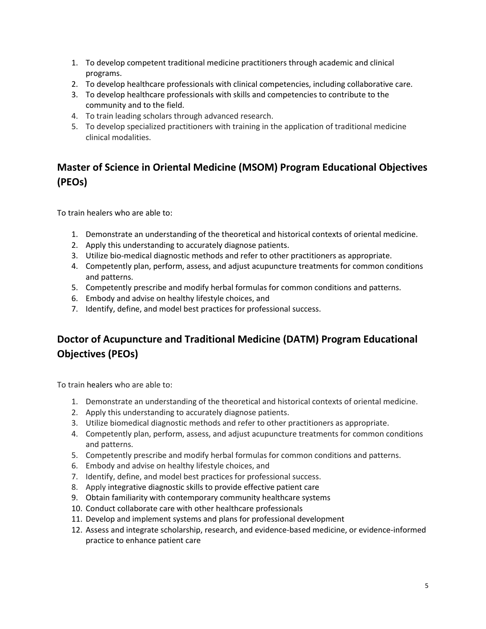- 1. To develop competent traditional medicine practitioners through academic and clinical programs.
- 2. To develop healthcare professionals with clinical competencies, including collaborative care.
- 3. To develop healthcare professionals with skills and competencies to contribute to the community and to the field.
- 4. To train leading scholars through advanced research.
- 5. To develop specialized practitioners with training in the application of traditional medicine clinical modalities.

## <span id="page-4-0"></span>**Master of Science in Oriental Medicine (MSOM) Program Educational Objectives (PEOs)**

To train healers who are able to:

- 1. Demonstrate an understanding of the theoretical and historical contexts of oriental medicine.
- 2. Apply this understanding to accurately diagnose patients.
- 3. Utilize bio-medical diagnostic methods and refer to other practitioners as appropriate.
- 4. Competently plan, perform, assess, and adjust acupuncture treatments for common conditions and patterns.
- 5. Competently prescribe and modify herbal formulas for common conditions and patterns.
- 6. Embody and advise on healthy lifestyle choices, and
- 7. Identify, define, and model best practices for professional success.

## <span id="page-4-1"></span>**Doctor of Acupuncture and Traditional Medicine (DATM) Program Educational Objectives (PEOs)**

To train healers who are able to:

- 1. Demonstrate an understanding of the theoretical and historical contexts of oriental medicine.
- 2. Apply this understanding to accurately diagnose patients.
- 3. Utilize biomedical diagnostic methods and refer to other practitioners as appropriate.
- 4. Competently plan, perform, assess, and adjust acupuncture treatments for common conditions and patterns.
- 5. Competently prescribe and modify herbal formulas for common conditions and patterns.
- 6. Embody and advise on healthy lifestyle choices, and
- 7. Identify, define, and model best practices for professional success.
- 8. Apply integrative diagnostic skills to provide effective patient care
- 9. Obtain familiarity with contemporary community healthcare systems
- 10. Conduct collaborate care with other healthcare professionals
- 11. Develop and implement systems and plans for professional development
- 12. Assess and integrate scholarship, research, and evidence-based medicine, or evidence-informed practice to enhance patient care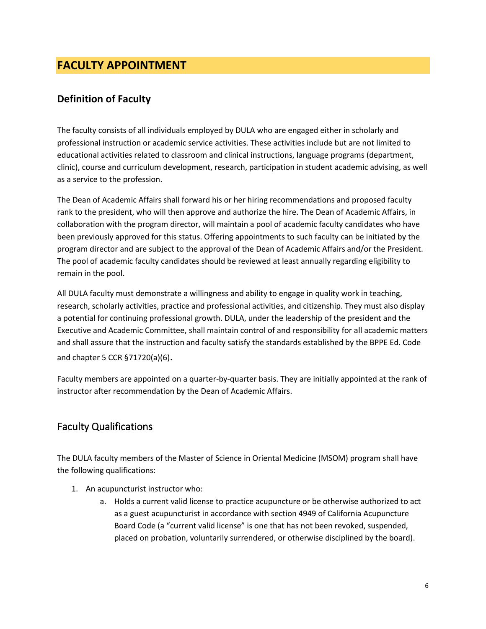## <span id="page-5-0"></span>**FACULTY APPOINTMENT**

## <span id="page-5-1"></span>**Definition of Faculty**

The faculty consists of all individuals employed by DULA who are engaged either in scholarly and professional instruction or academic service activities. These activities include but are not limited to educational activities related to classroom and clinical instructions, language programs (department, clinic), course and curriculum development, research, participation in student academic advising, as well as a service to the profession.

The Dean of Academic Affairs shall forward his or her hiring recommendations and proposed faculty rank to the president, who will then approve and authorize the hire. The Dean of Academic Affairs, in collaboration with the program director, will maintain a pool of academic faculty candidates who have been previously approved for this status. Offering appointments to such faculty can be initiated by the program director and are subject to the approval of the Dean of Academic Affairs and/or the President. The pool of academic faculty candidates should be reviewed at least annually regarding eligibility to remain in the pool.

All DULA faculty must demonstrate a willingness and ability to engage in quality work in teaching, research, scholarly activities, practice and professional activities, and citizenship. They must also display a potential for continuing professional growth. DULA, under the leadership of the president and the Executive and Academic Committee, shall maintain control of and responsibility for all academic matters and shall assure that the instruction and faculty satisfy the standards established by the BPPE Ed. Code and chapter 5 CCR §71720(a)(6).

Faculty members are appointed on a quarter-by-quarter basis. They are initially appointed at the rank of instructor after recommendation by the Dean of Academic Affairs.

## <span id="page-5-2"></span>Faculty Qualifications

The DULA faculty members of the Master of Science in Oriental Medicine (MSOM) program shall have the following qualifications:

- 1. An acupuncturist instructor who:
	- a. Holds a current valid license to practice acupuncture or be otherwise authorized to act as a guest acupuncturist in accordance with section 4949 of California Acupuncture Board Code (a "current valid license" is one that has not been revoked, suspended, placed on probation, voluntarily surrendered, or otherwise disciplined by the board).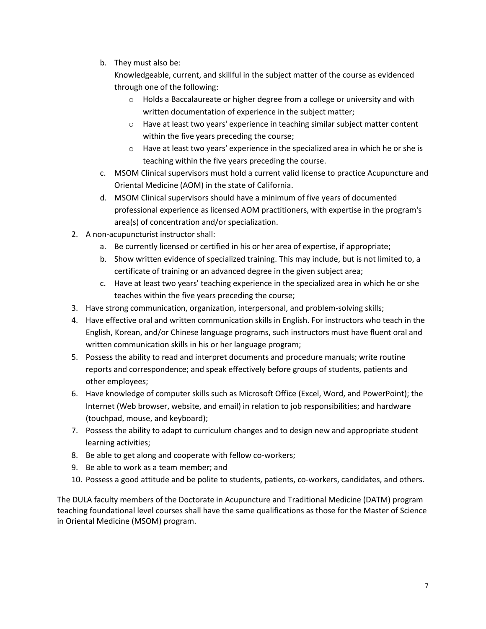b. They must also be:

Knowledgeable, current, and skillful in the subject matter of the course as evidenced through one of the following:

- o Holds a Baccalaureate or higher degree from a college or university and with written documentation of experience in the subject matter;
- o Have at least two years' experience in teaching similar subject matter content within the five years preceding the course;
- o Have at least two years' experience in the specialized area in which he or she is teaching within the five years preceding the course.
- c. MSOM Clinical supervisors must hold a current valid license to practice Acupuncture and Oriental Medicine (AOM) in the state of California.
- d. MSOM Clinical supervisors should have a minimum of five years of documented professional experience as licensed AOM practitioners, with expertise in the program's area(s) of concentration and/or specialization.
- 2. A non-acupuncturist instructor shall:
	- a. Be currently licensed or certified in his or her area of expertise, if appropriate;
	- b. Show written evidence of specialized training. This may include, but is not limited to, a certificate of training or an advanced degree in the given subject area;
	- c. Have at least two years' teaching experience in the specialized area in which he or she teaches within the five years preceding the course;
- 3. Have strong communication, organization, interpersonal, and problem-solving skills;
- 4. Have effective oral and written communication skills in English. For instructors who teach in the English, Korean, and/or Chinese language programs, such instructors must have fluent oral and written communication skills in his or her language program;
- 5. Possess the ability to read and interpret documents and procedure manuals; write routine reports and correspondence; and speak effectively before groups of students, patients and other employees;
- 6. Have knowledge of computer skills such as Microsoft Office (Excel, Word, and PowerPoint); the Internet (Web browser, website, and email) in relation to job responsibilities; and hardware (touchpad, mouse, and keyboard);
- 7. Possess the ability to adapt to curriculum changes and to design new and appropriate student learning activities;
- 8. Be able to get along and cooperate with fellow co-workers;
- 9. Be able to work as a team member; and
- 10. Possess a good attitude and be polite to students, patients, co-workers, candidates, and others.

The DULA faculty members of the Doctorate in Acupuncture and Traditional Medicine (DATM) program teaching foundational level courses shall have the same qualifications as those for the Master of Science in Oriental Medicine (MSOM) program.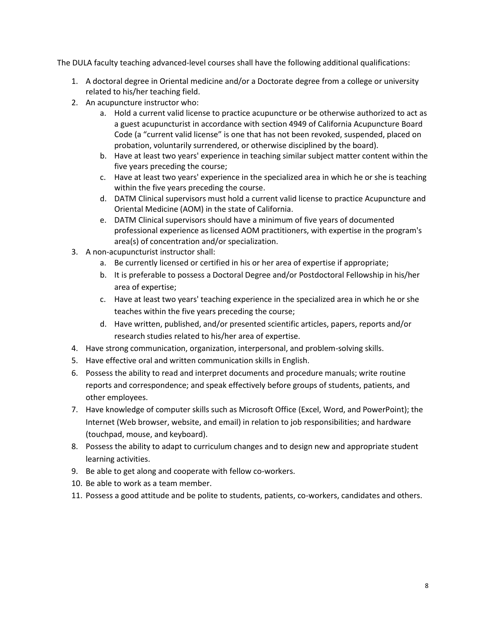The DULA faculty teaching advanced-level courses shall have the following additional qualifications:

- 1. A doctoral degree in Oriental medicine and/or a Doctorate degree from a college or university related to his/her teaching field.
- 2. An acupuncture instructor who:
	- a. Hold a current valid license to practice acupuncture or be otherwise authorized to act as a guest acupuncturist in accordance with section 4949 of California Acupuncture Board Code (a "current valid license" is one that has not been revoked, suspended, placed on probation, voluntarily surrendered, or otherwise disciplined by the board).
	- b. Have at least two years' experience in teaching similar subject matter content within the five years preceding the course;
	- c. Have at least two years' experience in the specialized area in which he or she is teaching within the five years preceding the course.
	- d. DATM Clinical supervisors must hold a current valid license to practice Acupuncture and Oriental Medicine (AOM) in the state of California.
	- e. DATM Clinical supervisors should have a minimum of five years of documented professional experience as licensed AOM practitioners, with expertise in the program's area(s) of concentration and/or specialization.
- 3. A non-acupuncturist instructor shall:
	- a. Be currently licensed or certified in his or her area of expertise if appropriate;
	- b. It is preferable to possess a Doctoral Degree and/or Postdoctoral Fellowship in his/her area of expertise;
	- c. Have at least two years' teaching experience in the specialized area in which he or she teaches within the five years preceding the course;
	- d. Have written, published, and/or presented scientific articles, papers, reports and/or research studies related to his/her area of expertise.
- 4. Have strong communication, organization, interpersonal, and problem-solving skills.
- 5. Have effective oral and written communication skills in English.
- 6. Possess the ability to read and interpret documents and procedure manuals; write routine reports and correspondence; and speak effectively before groups of students, patients, and other employees.
- 7. Have knowledge of computer skills such as Microsoft Office (Excel, Word, and PowerPoint); the Internet (Web browser, website, and email) in relation to job responsibilities; and hardware (touchpad, mouse, and keyboard).
- 8. Possess the ability to adapt to curriculum changes and to design new and appropriate student learning activities.
- 9. Be able to get along and cooperate with fellow co-workers.
- 10. Be able to work as a team member.
- 11. Possess a good attitude and be polite to students, patients, co-workers, candidates and others.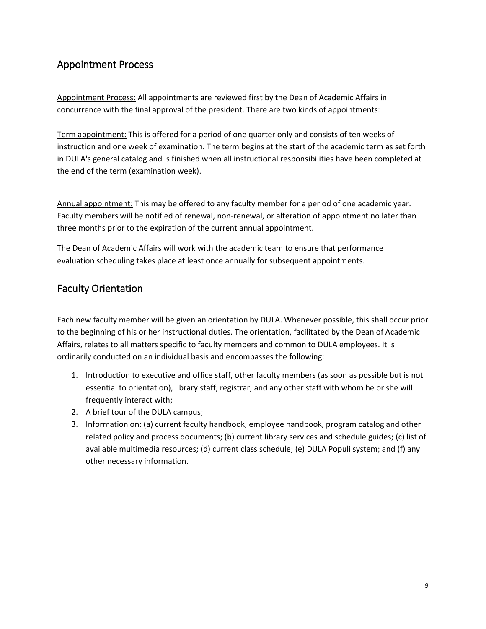## <span id="page-8-0"></span>Appointment Process

Appointment Process: All appointments are reviewed first by the Dean of Academic Affairs in concurrence with the final approval of the president. There are two kinds of appointments:

Term appointment: This is offered for a period of one quarter only and consists of ten weeks of instruction and one week of examination. The term begins at the start of the academic term as set forth in DULA's general catalog and is finished when all instructional responsibilities have been completed at the end of the term (examination week).

Annual appointment: This may be offered to any faculty member for a period of one academic year. Faculty members will be notified of renewal, non-renewal, or alteration of appointment no later than three months prior to the expiration of the current annual appointment.

The Dean of Academic Affairs will work with the academic team to ensure that performance evaluation scheduling takes place at least once annually for subsequent appointments.

## <span id="page-8-1"></span>Faculty Orientation

Each new faculty member will be given an orientation by DULA. Whenever possible, this shall occur prior to the beginning of his or her instructional duties. The orientation, facilitated by the Dean of Academic Affairs, relates to all matters specific to faculty members and common to DULA employees. It is ordinarily conducted on an individual basis and encompasses the following:

- 1. Introduction to executive and office staff, other faculty members (as soon as possible but is not essential to orientation), library staff, registrar, and any other staff with whom he or she will frequently interact with;
- 2. A brief tour of the DULA campus;
- 3. Information on: (a) current faculty handbook, employee handbook, program catalog and other related policy and process documents; (b) current library services and schedule guides; (c) list of available multimedia resources; (d) current class schedule; (e) DULA Populi system; and (f) any other necessary information.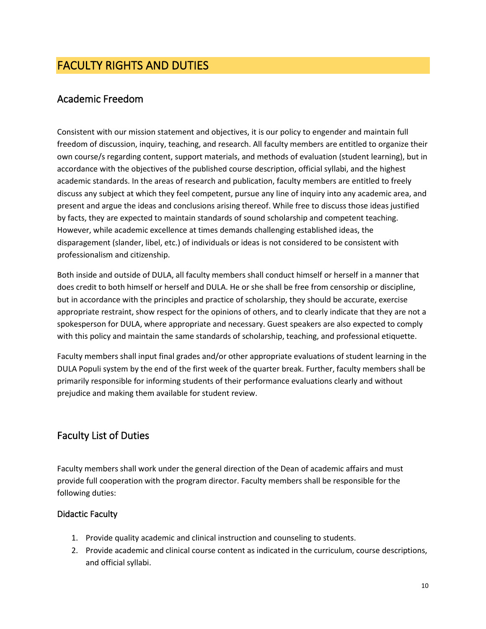## <span id="page-9-0"></span>FACULTY RIGHTS AND DUTIES

## <span id="page-9-1"></span>Academic Freedom

Consistent with our mission statement and objectives, it is our policy to engender and maintain full freedom of discussion, inquiry, teaching, and research. All faculty members are entitled to organize their own course/s regarding content, support materials, and methods of evaluation (student learning), but in accordance with the objectives of the published course description, official syllabi, and the highest academic standards. In the areas of research and publication, faculty members are entitled to freely discuss any subject at which they feel competent, pursue any line of inquiry into any academic area, and present and argue the ideas and conclusions arising thereof. While free to discuss those ideas justified by facts, they are expected to maintain standards of sound scholarship and competent teaching. However, while academic excellence at times demands challenging established ideas, the disparagement (slander, libel, etc.) of individuals or ideas is not considered to be consistent with professionalism and citizenship.

Both inside and outside of DULA, all faculty members shall conduct himself or herself in a manner that does credit to both himself or herself and DULA. He or she shall be free from censorship or discipline, but in accordance with the principles and practice of scholarship, they should be accurate, exercise appropriate restraint, show respect for the opinions of others, and to clearly indicate that they are not a spokesperson for DULA, where appropriate and necessary. Guest speakers are also expected to comply with this policy and maintain the same standards of scholarship, teaching, and professional etiquette.

Faculty members shall input final grades and/or other appropriate evaluations of student learning in the DULA Populi system by the end of the first week of the quarter break. Further, faculty members shall be primarily responsible for informing students of their performance evaluations clearly and without prejudice and making them available for student review.

## <span id="page-9-2"></span>Faculty List of Duties

Faculty members shall work under the general direction of the Dean of academic affairs and must provide full cooperation with the program director. Faculty members shall be responsible for the following duties:

## <span id="page-9-3"></span>Didactic Faculty

- 1. Provide quality academic and clinical instruction and counseling to students.
- 2. Provide academic and clinical course content as indicated in the curriculum, course descriptions, and official syllabi.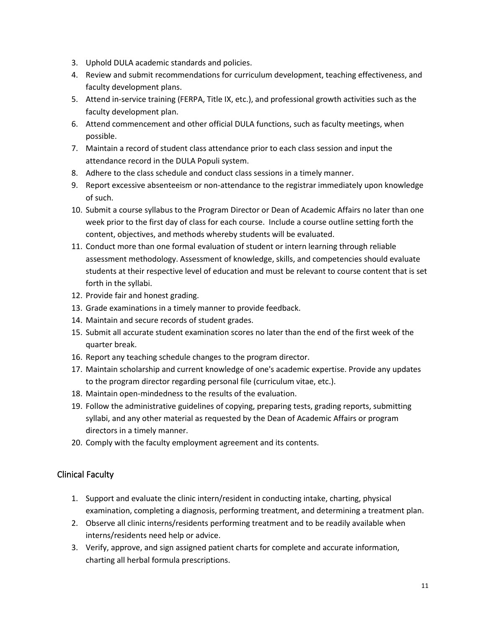- 3. Uphold DULA academic standards and policies.
- 4. Review and submit recommendations for curriculum development, teaching effectiveness, and faculty development plans.
- 5. Attend in-service training (FERPA, Title IX, etc.), and professional growth activities such as the faculty development plan.
- 6. Attend commencement and other official DULA functions, such as faculty meetings, when possible.
- 7. Maintain a record of student class attendance prior to each class session and input the attendance record in the DULA Populi system.
- 8. Adhere to the class schedule and conduct class sessions in a timely manner.
- 9. Report excessive absenteeism or non-attendance to the registrar immediately upon knowledge of such.
- 10. Submit a course syllabus to the Program Director or Dean of Academic Affairs no later than one week prior to the first day of class for each course. Include a course outline setting forth the content, objectives, and methods whereby students will be evaluated.
- 11. Conduct more than one formal evaluation of student or intern learning through reliable assessment methodology. Assessment of knowledge, skills, and competencies should evaluate students at their respective level of education and must be relevant to course content that is set forth in the syllabi.
- 12. Provide fair and honest grading.
- 13. Grade examinations in a timely manner to provide feedback.
- 14. Maintain and secure records of student grades.
- 15. Submit all accurate student examination scores no later than the end of the first week of the quarter break.
- 16. Report any teaching schedule changes to the program director.
- 17. Maintain scholarship and current knowledge of one's academic expertise. Provide any updates to the program director regarding personal file (curriculum vitae, etc.).
- 18. Maintain open-mindedness to the results of the evaluation.
- 19. Follow the administrative guidelines of copying, preparing tests, grading reports, submitting syllabi, and any other material as requested by the Dean of Academic Affairs or program directors in a timely manner.
- 20. Comply with the faculty employment agreement and its contents.

## <span id="page-10-0"></span>Clinical Faculty

- 1. Support and evaluate the clinic intern/resident in conducting intake, charting, physical examination, completing a diagnosis, performing treatment, and determining a treatment plan.
- 2. Observe all clinic interns/residents performing treatment and to be readily available when interns/residents need help or advice.
- 3. Verify, approve, and sign assigned patient charts for complete and accurate information, charting all herbal formula prescriptions.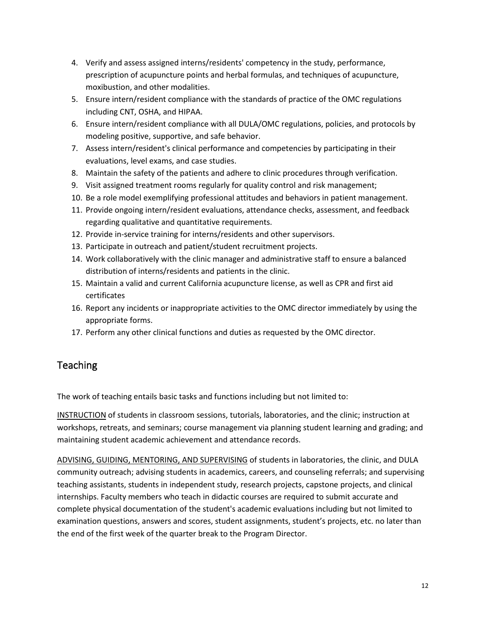- 4. Verify and assess assigned interns/residents' competency in the study, performance, prescription of acupuncture points and herbal formulas, and techniques of acupuncture, moxibustion, and other modalities.
- 5. Ensure intern/resident compliance with the standards of practice of the OMC regulations including CNT, OSHA, and HIPAA.
- 6. Ensure intern/resident compliance with all DULA/OMC regulations, policies, and protocols by modeling positive, supportive, and safe behavior.
- 7. Assess intern/resident's clinical performance and competencies by participating in their evaluations, level exams, and case studies.
- 8. Maintain the safety of the patients and adhere to clinic procedures through verification.
- 9. Visit assigned treatment rooms regularly for quality control and risk management;
- 10. Be a role model exemplifying professional attitudes and behaviors in patient management.
- 11. Provide ongoing intern/resident evaluations, attendance checks, assessment, and feedback regarding qualitative and quantitative requirements.
- 12. Provide in-service training for interns/residents and other supervisors.
- 13. Participate in outreach and patient/student recruitment projects.
- 14. Work collaboratively with the clinic manager and administrative staff to ensure a balanced distribution of interns/residents and patients in the clinic.
- 15. Maintain a valid and current California acupuncture license, as well as CPR and first aid certificates
- 16. Report any incidents or inappropriate activities to the OMC director immediately by using the appropriate forms.
- 17. Perform any other clinical functions and duties as requested by the OMC director.

## <span id="page-11-0"></span>Teaching

The work of teaching entails basic tasks and functions including but not limited to:

INSTRUCTION of students in classroom sessions, tutorials, laboratories, and the clinic; instruction at workshops, retreats, and seminars; course management via planning student learning and grading; and maintaining student academic achievement and attendance records.

ADVISING, GUIDING, MENTORING, AND SUPERVISING of students in laboratories, the clinic, and DULA community outreach; advising students in academics, careers, and counseling referrals; and supervising teaching assistants, students in independent study, research projects, capstone projects, and clinical internships. Faculty members who teach in didactic courses are required to submit accurate and complete physical documentation of the student's academic evaluations including but not limited to examination questions, answers and scores, student assignments, student's projects, etc. no later than the end of the first week of the quarter break to the Program Director.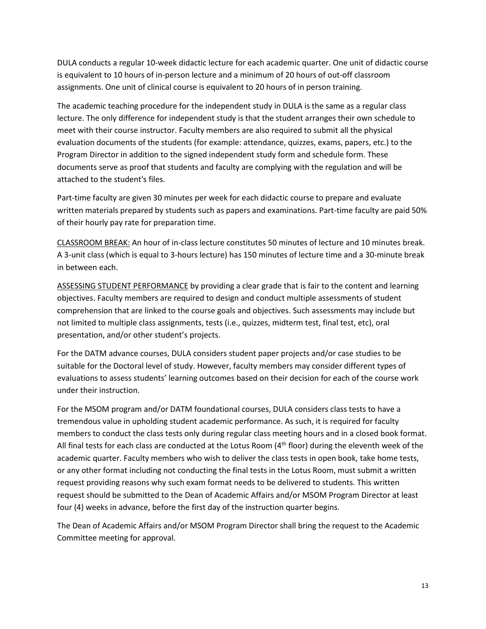DULA conducts a regular 10-week didactic lecture for each academic quarter. One unit of didactic course is equivalent to 10 hours of in-person lecture and a minimum of 20 hours of out-off classroom assignments. One unit of clinical course is equivalent to 20 hours of in person training.

The academic teaching procedure for the independent study in DULA is the same as a regular class lecture. The only difference for independent study is that the student arranges their own schedule to meet with their course instructor. Faculty members are also required to submit all the physical evaluation documents of the students (for example: attendance, quizzes, exams, papers, etc.) to the Program Director in addition to the signed independent study form and schedule form. These documents serve as proof that students and faculty are complying with the regulation and will be attached to the student's files.

Part-time faculty are given 30 minutes per week for each didactic course to prepare and evaluate written materials prepared by students such as papers and examinations. Part-time faculty are paid 50% of their hourly pay rate for preparation time.

CLASSROOM BREAK: An hour of in-class lecture constitutes 50 minutes of lecture and 10 minutes break. A 3-unit class (which is equal to 3-hours lecture) has 150 minutes of lecture time and a 30-minute break in between each.

ASSESSING STUDENT PERFORMANCE by providing a clear grade that is fair to the content and learning objectives. Faculty members are required to design and conduct multiple assessments of student comprehension that are linked to the course goals and objectives. Such assessments may include but not limited to multiple class assignments, tests (i.e., quizzes, midterm test, final test, etc), oral presentation, and/or other student's projects.

For the DATM advance courses, DULA considers student paper projects and/or case studies to be suitable for the Doctoral level of study. However, faculty members may consider different types of evaluations to assess students' learning outcomes based on their decision for each of the course work under their instruction.

For the MSOM program and/or DATM foundational courses, DULA considers class tests to have a tremendous value in upholding student academic performance. As such, it is required for faculty members to conduct the class tests only during regular class meeting hours and in a closed book format. All final tests for each class are conducted at the Lotus Room (4<sup>th</sup> floor) during the eleventh week of the academic quarter. Faculty members who wish to deliver the class tests in open book, take home tests, or any other format including not conducting the final tests in the Lotus Room, must submit a written request providing reasons why such exam format needs to be delivered to students. This written request should be submitted to the Dean of Academic Affairs and/or MSOM Program Director at least four (4) weeks in advance, before the first day of the instruction quarter begins.

The Dean of Academic Affairs and/or MSOM Program Director shall bring the request to the Academic Committee meeting for approval.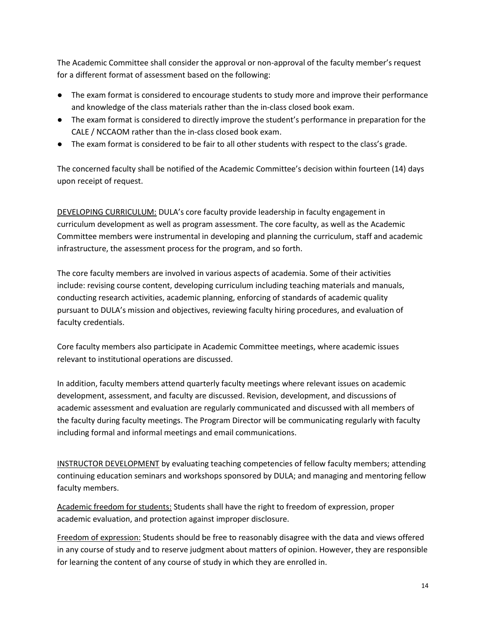The Academic Committee shall consider the approval or non-approval of the faculty member's request for a different format of assessment based on the following:

- The exam format is considered to encourage students to study more and improve their performance and knowledge of the class materials rather than the in-class closed book exam.
- The exam format is considered to directly improve the student's performance in preparation for the CALE / NCCAOM rather than the in-class closed book exam.
- The exam format is considered to be fair to all other students with respect to the class's grade.

The concerned faculty shall be notified of the Academic Committee's decision within fourteen (14) days upon receipt of request.

DEVELOPING CURRICULUM: DULA's core faculty provide leadership in faculty engagement in curriculum development as well as program assessment. The core faculty, as well as the Academic Committee members were instrumental in developing and planning the curriculum, staff and academic infrastructure, the assessment process for the program, and so forth.

The core faculty members are involved in various aspects of academia. Some of their activities include: revising course content, developing curriculum including teaching materials and manuals, conducting research activities, academic planning, enforcing of standards of academic quality pursuant to DULA's mission and objectives, reviewing faculty hiring procedures, and evaluation of faculty credentials.

Core faculty members also participate in Academic Committee meetings, where academic issues relevant to institutional operations are discussed.

In addition, faculty members attend quarterly faculty meetings where relevant issues on academic development, assessment, and faculty are discussed. Revision, development, and discussions of academic assessment and evaluation are regularly communicated and discussed with all members of the faculty during faculty meetings. The Program Director will be communicating regularly with faculty including formal and informal meetings and email communications.

INSTRUCTOR DEVELOPMENT by evaluating teaching competencies of fellow faculty members; attending continuing education seminars and workshops sponsored by DULA; and managing and mentoring fellow faculty members.

Academic freedom for students: Students shall have the right to freedom of expression, proper academic evaluation, and protection against improper disclosure.

Freedom of expression: Students should be free to reasonably disagree with the data and views offered in any course of study and to reserve judgment about matters of opinion. However, they are responsible for learning the content of any course of study in which they are enrolled in.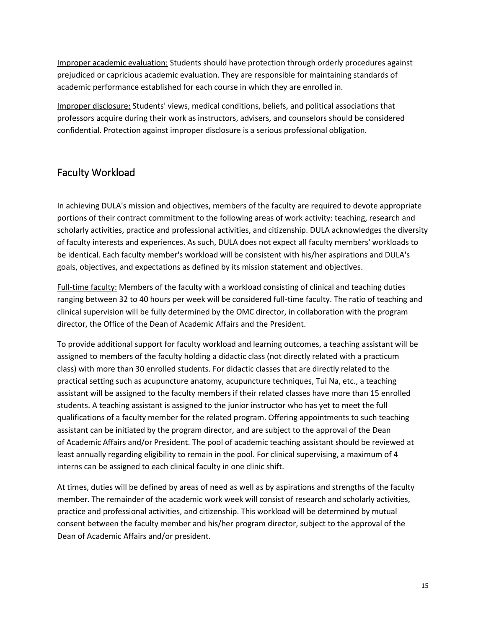Improper academic evaluation: Students should have protection through orderly procedures against prejudiced or capricious academic evaluation. They are responsible for maintaining standards of academic performance established for each course in which they are enrolled in.

Improper disclosure: Students' views, medical conditions, beliefs, and political associations that professors acquire during their work as instructors, advisers, and counselors should be considered confidential. Protection against improper disclosure is a serious professional obligation.

## <span id="page-14-0"></span>Faculty Workload

In achieving DULA's mission and objectives, members of the faculty are required to devote appropriate portions of their contract commitment to the following areas of work activity: teaching, research and scholarly activities, practice and professional activities, and citizenship. DULA acknowledges the diversity of faculty interests and experiences. As such, DULA does not expect all faculty members' workloads to be identical. Each faculty member's workload will be consistent with his/her aspirations and DULA's goals, objectives, and expectations as defined by its mission statement and objectives.

Full-time faculty: Members of the faculty with a workload consisting of clinical and teaching duties ranging between 32 to 40 hours per week will be considered full-time faculty. The ratio of teaching and clinical supervision will be fully determined by the OMC director, in collaboration with the program director, the Office of the Dean of Academic Affairs and the President.

To provide additional support for faculty workload and learning outcomes, a teaching assistant will be assigned to members of the faculty holding a didactic class (not directly related with a practicum class) with more than 30 enrolled students. For didactic classes that are directly related to the practical setting such as acupuncture anatomy, acupuncture techniques, Tui Na, etc., a teaching assistant will be assigned to the faculty members if their related classes have more than 15 enrolled students. A teaching assistant is assigned to the junior instructor who has yet to meet the full qualifications of a faculty member for the related program. Offering appointments to such teaching assistant can be initiated by the program director, and are subject to the approval of the Dean of Academic Affairs and/or President. The pool of academic teaching assistant should be reviewed at least annually regarding eligibility to remain in the pool. For clinical supervising, a maximum of 4 interns can be assigned to each clinical faculty in one clinic shift.

At times, duties will be defined by areas of need as well as by aspirations and strengths of the faculty member. The remainder of the academic work week will consist of research and scholarly activities, practice and professional activities, and citizenship. This workload will be determined by mutual consent between the faculty member and his/her program director, subject to the approval of the Dean of Academic Affairs and/or president.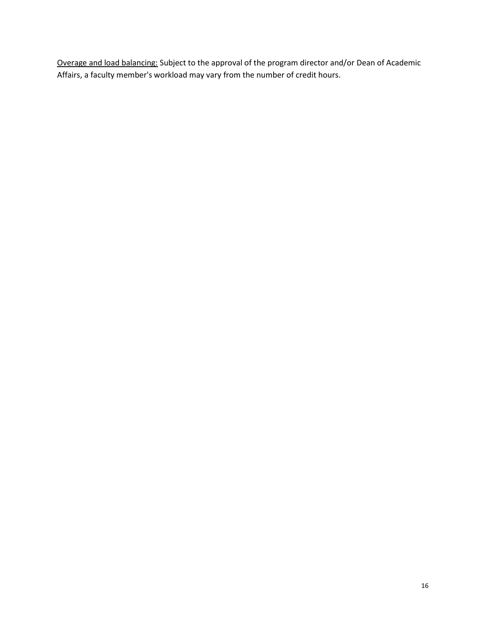Overage and load balancing: Subject to the approval of the program director and/or Dean of Academic Affairs, a faculty member's workload may vary from the number of credit hours.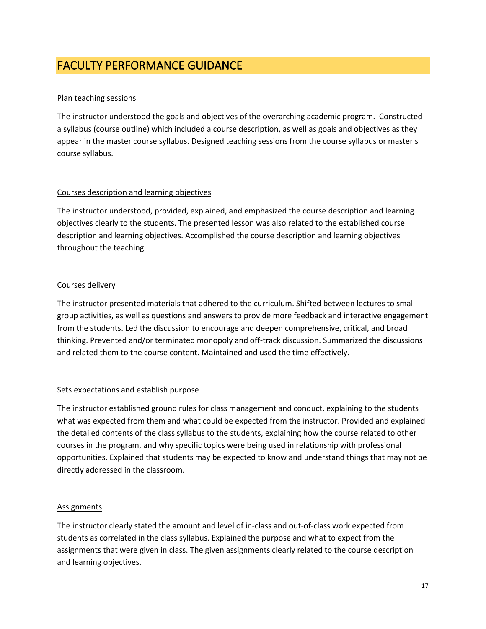## <span id="page-16-0"></span>FACULTY PERFORMANCE GUIDANCE

## Plan teaching sessions

The instructor understood the goals and objectives of the overarching academic program. Constructed a syllabus (course outline) which included a course description, as well as goals and objectives as they appear in the master course syllabus. Designed teaching sessions from the course syllabus or master's course syllabus.

## Courses description and learning objectives

The instructor understood, provided, explained, and emphasized the course description and learning objectives clearly to the students. The presented lesson was also related to the established course description and learning objectives. Accomplished the course description and learning objectives throughout the teaching.

## Courses delivery

The instructor presented materials that adhered to the curriculum. Shifted between lectures to small group activities, as well as questions and answers to provide more feedback and interactive engagement from the students. Led the discussion to encourage and deepen comprehensive, critical, and broad thinking. Prevented and/or terminated monopoly and off-track discussion. Summarized the discussions and related them to the course content. Maintained and used the time effectively.

## Sets expectations and establish purpose

The instructor established ground rules for class management and conduct, explaining to the students what was expected from them and what could be expected from the instructor. Provided and explained the detailed contents of the class syllabus to the students, explaining how the course related to other courses in the program, and why specific topics were being used in relationship with professional opportunities. Explained that students may be expected to know and understand things that may not be directly addressed in the classroom.

## **Assignments**

The instructor clearly stated the amount and level of in-class and out-of-class work expected from students as correlated in the class syllabus. Explained the purpose and what to expect from the assignments that were given in class. The given assignments clearly related to the course description and learning objectives.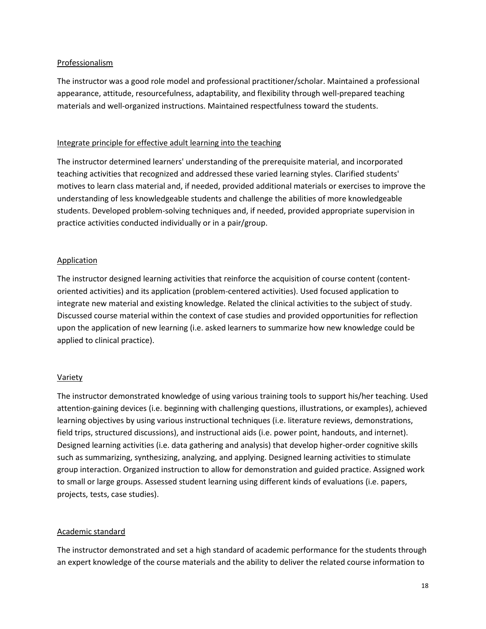#### Professionalism

The instructor was a good role model and professional practitioner/scholar. Maintained a professional appearance, attitude, resourcefulness, adaptability, and flexibility through well-prepared teaching materials and well-organized instructions. Maintained respectfulness toward the students.

#### Integrate principle for effective adult learning into the teaching

The instructor determined learners' understanding of the prerequisite material, and incorporated teaching activities that recognized and addressed these varied learning styles. Clarified students' motives to learn class material and, if needed, provided additional materials or exercises to improve the understanding of less knowledgeable students and challenge the abilities of more knowledgeable students. Developed problem-solving techniques and, if needed, provided appropriate supervision in practice activities conducted individually or in a pair/group.

#### Application

The instructor designed learning activities that reinforce the acquisition of course content (contentoriented activities) and its application (problem-centered activities). Used focused application to integrate new material and existing knowledge. Related the clinical activities to the subject of study. Discussed course material within the context of case studies and provided opportunities for reflection upon the application of new learning (i.e. asked learners to summarize how new knowledge could be applied to clinical practice).

## Variety

The instructor demonstrated knowledge of using various training tools to support his/her teaching. Used attention-gaining devices (i.e. beginning with challenging questions, illustrations, or examples), achieved learning objectives by using various instructional techniques (i.e. literature reviews, demonstrations, field trips, structured discussions), and instructional aids (i.e. power point, handouts, and internet). Designed learning activities (i.e. data gathering and analysis) that develop higher-order cognitive skills such as summarizing, synthesizing, analyzing, and applying. Designed learning activities to stimulate group interaction. Organized instruction to allow for demonstration and guided practice. Assigned work to small or large groups. Assessed student learning using different kinds of evaluations (i.e. papers, projects, tests, case studies).

#### Academic standard

The instructor demonstrated and set a high standard of academic performance for the students through an expert knowledge of the course materials and the ability to deliver the related course information to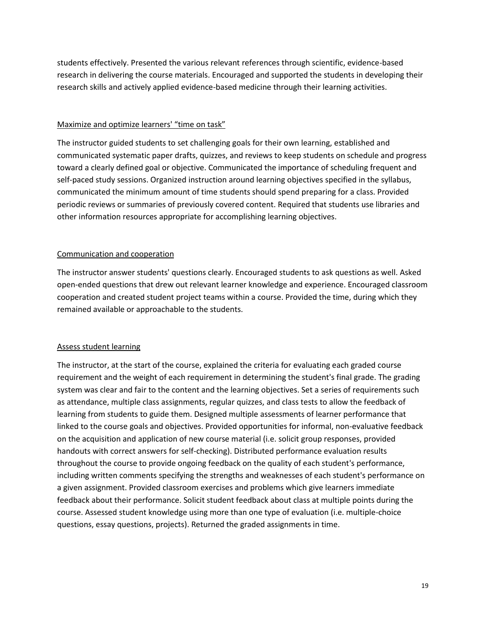students effectively. Presented the various relevant references through scientific, evidence-based research in delivering the course materials. Encouraged and supported the students in developing their research skills and actively applied evidence-based medicine through their learning activities.

#### Maximize and optimize learners' "time on task"

The instructor guided students to set challenging goals for their own learning, established and communicated systematic paper drafts, quizzes, and reviews to keep students on schedule and progress toward a clearly defined goal or objective. Communicated the importance of scheduling frequent and self-paced study sessions. Organized instruction around learning objectives specified in the syllabus, communicated the minimum amount of time students should spend preparing for a class. Provided periodic reviews or summaries of previously covered content. Required that students use libraries and other information resources appropriate for accomplishing learning objectives.

## Communication and cooperation

The instructor answer students' questions clearly. Encouraged students to ask questions as well. Asked open-ended questions that drew out relevant learner knowledge and experience. Encouraged classroom cooperation and created student project teams within a course. Provided the time, during which they remained available or approachable to the students.

## Assess student learning

The instructor, at the start of the course, explained the criteria for evaluating each graded course requirement and the weight of each requirement in determining the student's final grade. The grading system was clear and fair to the content and the learning objectives. Set a series of requirements such as attendance, multiple class assignments, regular quizzes, and class tests to allow the feedback of learning from students to guide them. Designed multiple assessments of learner performance that linked to the course goals and objectives. Provided opportunities for informal, non-evaluative feedback on the acquisition and application of new course material (i.e. solicit group responses, provided handouts with correct answers for self-checking). Distributed performance evaluation results throughout the course to provide ongoing feedback on the quality of each student's performance, including written comments specifying the strengths and weaknesses of each student's performance on a given assignment. Provided classroom exercises and problems which give learners immediate feedback about their performance. Solicit student feedback about class at multiple points during the course. Assessed student knowledge using more than one type of evaluation (i.e. multiple-choice questions, essay questions, projects). Returned the graded assignments in time.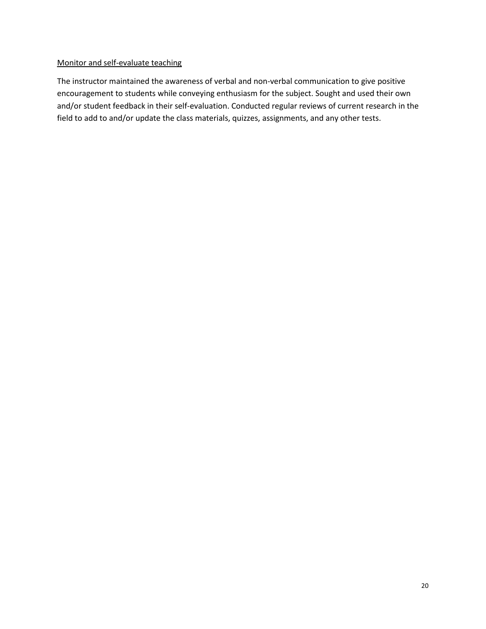## Monitor and self-evaluate teaching

The instructor maintained the awareness of verbal and non-verbal communication to give positive encouragement to students while conveying enthusiasm for the subject. Sought and used their own and/or student feedback in their self-evaluation. Conducted regular reviews of current research in the field to add to and/or update the class materials, quizzes, assignments, and any other tests.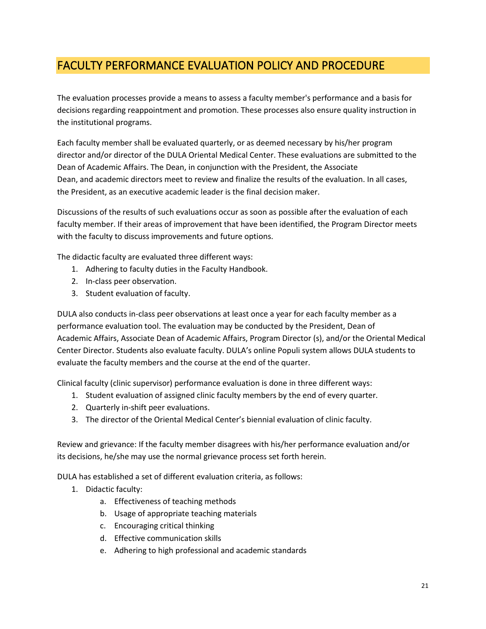## <span id="page-20-0"></span>FACULTY PERFORMANCE EVALUATION POLICY AND PROCEDURE

The evaluation processes provide a means to assess a faculty member's performance and a basis for decisions regarding reappointment and promotion. These processes also ensure quality instruction in the institutional programs.

Each faculty member shall be evaluated quarterly, or as deemed necessary by his/her program director and/or director of the DULA Oriental Medical Center. These evaluations are submitted to the Dean of Academic Affairs. The Dean, in conjunction with the President, the Associate Dean, and academic directors meet to review and finalize the results of the evaluation. In all cases, the President, as an executive academic leader is the final decision maker.

Discussions of the results of such evaluations occur as soon as possible after the evaluation of each faculty member. If their areas of improvement that have been identified, the Program Director meets with the faculty to discuss improvements and future options.

The didactic faculty are evaluated three different ways:

- 1. Adhering to faculty duties in the Faculty Handbook.
- 2. In-class peer observation.
- 3. Student evaluation of faculty.

DULA also conducts in-class peer observations at least once a year for each faculty member as a performance evaluation tool. The evaluation may be conducted by the President, Dean of Academic Affairs, Associate Dean of Academic Affairs, Program Director (s), and/or the Oriental Medical Center Director. Students also evaluate faculty. DULA's online Populi system allows DULA students to evaluate the faculty members and the course at the end of the quarter.

Clinical faculty (clinic supervisor) performance evaluation is done in three different ways:

- 1. Student evaluation of assigned clinic faculty members by the end of every quarter.
- 2. Quarterly in-shift peer evaluations.
- 3. The director of the Oriental Medical Center's biennial evaluation of clinic faculty.

Review and grievance: If the faculty member disagrees with his/her performance evaluation and/or its decisions, he/she may use the normal grievance process set forth herein.

DULA has established a set of different evaluation criteria, as follows:

- 1. Didactic faculty:
	- a. Effectiveness of teaching methods
	- b. Usage of appropriate teaching materials
	- c. Encouraging critical thinking
	- d. Effective communication skills
	- e. Adhering to high professional and academic standards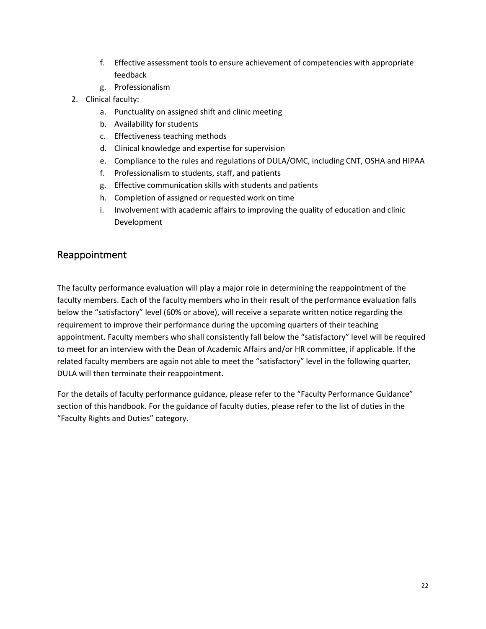- f. Effective assessment tools to ensure achievement of competencies with appropriate feedback
- g. Professionalism
- 2. Clinical faculty:
	- a. Punctuality on assigned shift and clinic meeting
	- b. Availability for students
	- c. Effectiveness teaching methods
	- d. Clinical knowledge and expertise for supervision
	- e. Compliance to the rules and regulations of DULA/OMC, including CNT, OSHA and HIPAA
	- f. Professionalism to students, staff, and patients
	- g. Effective communication skills with students and patients
	- h. Completion of assigned or requested work on time
	- i. Involvement with academic affairs to improving the quality of education and clinic Development

## <span id="page-21-0"></span>Reappointment

The faculty performance evaluation will play a major role in determining the reappointment of the faculty members. Each of the faculty members who in their result of the performance evaluation falls below the "satisfactory" level (60% or above), will receive a separate written notice regarding the requirement to improve their performance during the upcoming quarters of their teaching appointment. Faculty members who shall consistently fall below the "satisfactory" level will be required to meet for an interview with the Dean of Academic Affairs and/or HR committee, if applicable. If the related faculty members are again not able to meet the "satisfactory" level in the following quarter, DULA will then terminate their reappointment.

For the details of faculty performance guidance, please refer to the "Faculty Performance Guidance" section of this handbook. For the guidance of faculty duties, please refer to the list of duties in the "Faculty Rights and Duties" category.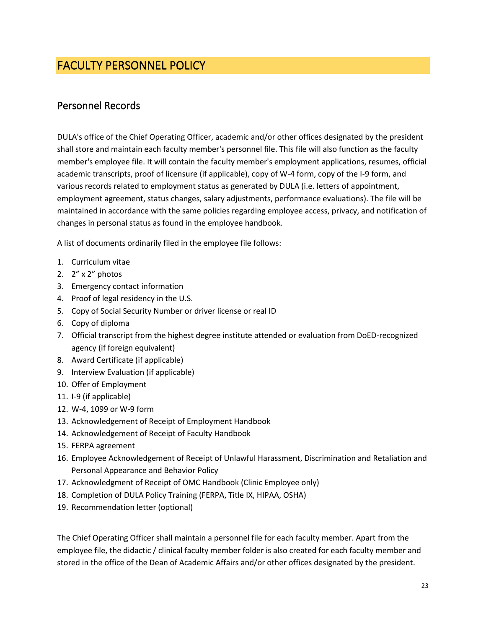## <span id="page-22-0"></span>FACULTY PERSONNEL POLICY

## <span id="page-22-1"></span>Personnel Records

DULA's office of the Chief Operating Officer, academic and/or other offices designated by the president shall store and maintain each faculty member's personnel file. This file will also function as the faculty member's employee file. It will contain the faculty member's employment applications, resumes, official academic transcripts, proof of licensure (if applicable), copy of W-4 form, copy of the I-9 form, and various records related to employment status as generated by DULA (i.e. letters of appointment, employment agreement, status changes, salary adjustments, performance evaluations). The file will be maintained in accordance with the same policies regarding employee access, privacy, and notification of changes in personal status as found in the employee handbook.

A list of documents ordinarily filed in the employee file follows:

- 1. Curriculum vitae
- 2. 2" x 2" photos
- 3. Emergency contact information
- 4. Proof of legal residency in the U.S.
- 5. Copy of Social Security Number or driver license or real ID
- 6. Copy of diploma
- 7. Official transcript from the highest degree institute attended or evaluation from DoED-recognized agency (if foreign equivalent)
- 8. Award Certificate (if applicable)
- 9. Interview Evaluation (if applicable)
- 10. Offer of Employment
- 11. I-9 (if applicable)
- 12. W-4, 1099 or W-9 form
- 13. Acknowledgement of Receipt of Employment Handbook
- 14. Acknowledgement of Receipt of Faculty Handbook
- 15. FERPA agreement
- 16. Employee Acknowledgement of Receipt of Unlawful Harassment, Discrimination and Retaliation and Personal Appearance and Behavior Policy
- 17. Acknowledgment of Receipt of OMC Handbook (Clinic Employee only)
- 18. Completion of DULA Policy Training (FERPA, Title IX, HIPAA, OSHA)
- 19. Recommendation letter (optional)

The Chief Operating Officer shall maintain a personnel file for each faculty member. Apart from the employee file, the didactic / clinical faculty member folder is also created for each faculty member and stored in the office of the Dean of Academic Affairs and/or other offices designated by the president.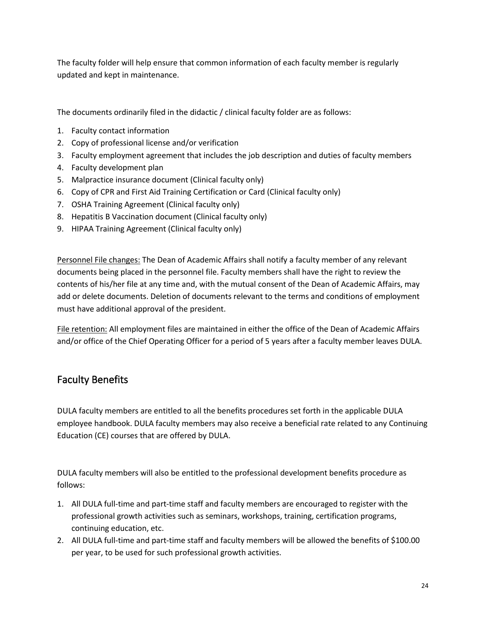The faculty folder will help ensure that common information of each faculty member is regularly updated and kept in maintenance.

The documents ordinarily filed in the didactic / clinical faculty folder are as follows:

- 1. Faculty contact information
- 2. Copy of professional license and/or verification
- 3. Faculty employment agreement that includes the job description and duties of faculty members
- 4. Faculty development plan
- 5. Malpractice insurance document (Clinical faculty only)
- 6. Copy of CPR and First Aid Training Certification or Card (Clinical faculty only)
- 7. OSHA Training Agreement (Clinical faculty only)
- 8. Hepatitis B Vaccination document (Clinical faculty only)
- 9. HIPAA Training Agreement (Clinical faculty only)

Personnel File changes: The Dean of Academic Affairs shall notify a faculty member of any relevant documents being placed in the personnel file. Faculty members shall have the right to review the contents of his/her file at any time and, with the mutual consent of the Dean of Academic Affairs, may add or delete documents. Deletion of documents relevant to the terms and conditions of employment must have additional approval of the president.

File retention: All employment files are maintained in either the office of the Dean of Academic Affairs and/or office of the Chief Operating Officer for a period of 5 years after a faculty member leaves DULA.

## <span id="page-23-0"></span>Faculty Benefits

DULA faculty members are entitled to all the benefits procedures set forth in the applicable DULA employee handbook. DULA faculty members may also receive a beneficial rate related to any Continuing Education (CE) courses that are offered by DULA.

DULA faculty members will also be entitled to the professional development benefits procedure as follows:

- 1. All DULA full-time and part-time staff and faculty members are encouraged to register with the professional growth activities such as seminars, workshops, training, certification programs, continuing education, etc.
- 2. All DULA full-time and part-time staff and faculty members will be allowed the benefits of \$100.00 per year, to be used for such professional growth activities.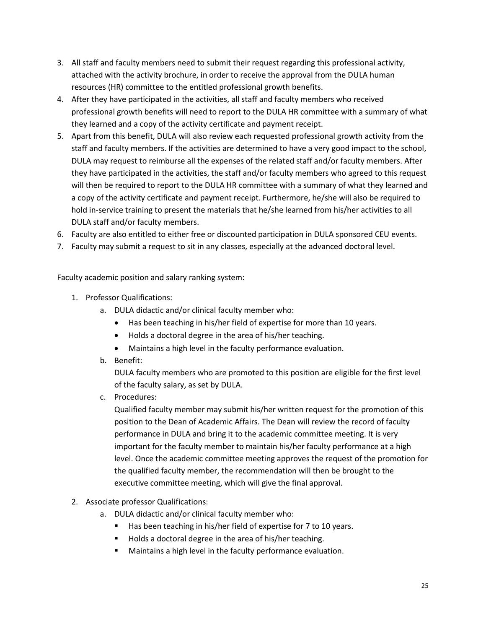- 3. All staff and faculty members need to submit their request regarding this professional activity, attached with the activity brochure, in order to receive the approval from the DULA human resources (HR) committee to the entitled professional growth benefits.
- 4. After they have participated in the activities, all staff and faculty members who received professional growth benefits will need to report to the DULA HR committee with a summary of what they learned and a copy of the activity certificate and payment receipt.
- 5. Apart from this benefit, DULA will also review each requested professional growth activity from the staff and faculty members. If the activities are determined to have a very good impact to the school, DULA may request to reimburse all the expenses of the related staff and/or faculty members. After they have participated in the activities, the staff and/or faculty members who agreed to this request will then be required to report to the DULA HR committee with a summary of what they learned and a copy of the activity certificate and payment receipt. Furthermore, he/she will also be required to hold in-service training to present the materials that he/she learned from his/her activities to all DULA staff and/or faculty members.
- 6. Faculty are also entitled to either free or discounted participation in DULA sponsored CEU events.
- 7. Faculty may submit a request to sit in any classes, especially at the advanced doctoral level.

Faculty academic position and salary ranking system:

- 1. Professor Qualifications:
	- a. DULA didactic and/or clinical faculty member who:
		- Has been teaching in his/her field of expertise for more than 10 years.
		- Holds a doctoral degree in the area of his/her teaching.
		- Maintains a high level in the faculty performance evaluation.
	- b. Benefit:

DULA faculty members who are promoted to this position are eligible for the first level of the faculty salary, as set by DULA.

c. Procedures:

Qualified faculty member may submit his/her written request for the promotion of this position to the Dean of Academic Affairs. The Dean will review the record of faculty performance in DULA and bring it to the academic committee meeting. It is very important for the faculty member to maintain his/her faculty performance at a high level. Once the academic committee meeting approves the request of the promotion for the qualified faculty member, the recommendation will then be brought to the executive committee meeting, which will give the final approval.

- 2. Associate professor Qualifications:
	- a. DULA didactic and/or clinical faculty member who:
		- Has been teaching in his/her field of expertise for 7 to 10 years.
		- Holds a doctoral degree in the area of his/her teaching.
		- Maintains a high level in the faculty performance evaluation.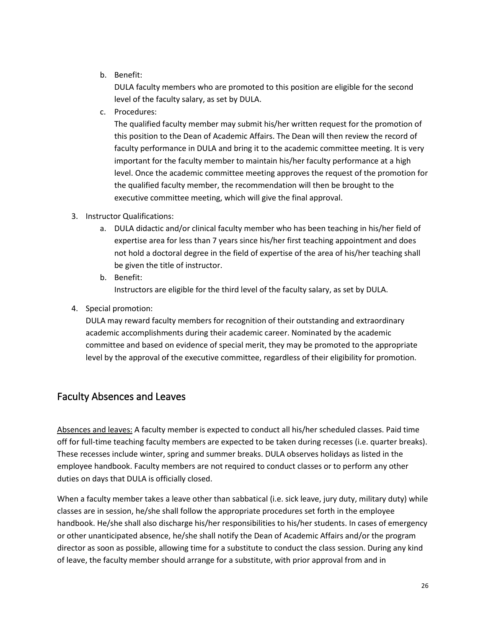b. Benefit:

DULA faculty members who are promoted to this position are eligible for the second level of the faculty salary, as set by DULA.

c. Procedures:

The qualified faculty member may submit his/her written request for the promotion of this position to the Dean of Academic Affairs. The Dean will then review the record of faculty performance in DULA and bring it to the academic committee meeting. It is very important for the faculty member to maintain his/her faculty performance at a high level. Once the academic committee meeting approves the request of the promotion for the qualified faculty member, the recommendation will then be brought to the executive committee meeting, which will give the final approval.

## 3. Instructor Qualifications:

- a. DULA didactic and/or clinical faculty member who has been teaching in his/her field of expertise area for less than 7 years since his/her first teaching appointment and does not hold a doctoral degree in the field of expertise of the area of his/her teaching shall be given the title of instructor.
- b. Benefit: Instructors are eligible for the third level of the faculty salary, as set by DULA.
- 4. Special promotion:

DULA may reward faculty members for recognition of their outstanding and extraordinary academic accomplishments during their academic career. Nominated by the academic committee and based on evidence of special merit, they may be promoted to the appropriate level by the approval of the executive committee, regardless of their eligibility for promotion.

## <span id="page-25-0"></span>Faculty Absences and Leaves

Absences and leaves: A faculty member is expected to conduct all his/her scheduled classes. Paid time off for full-time teaching faculty members are expected to be taken during recesses (i.e. quarter breaks). These recesses include winter, spring and summer breaks. DULA observes holidays as listed in the employee handbook. Faculty members are not required to conduct classes or to perform any other duties on days that DULA is officially closed.

When a faculty member takes a leave other than sabbatical (i.e. sick leave, jury duty, military duty) while classes are in session, he/she shall follow the appropriate procedures set forth in the employee handbook. He/she shall also discharge his/her responsibilities to his/her students. In cases of emergency or other unanticipated absence, he/she shall notify the Dean of Academic Affairs and/or the program director as soon as possible, allowing time for a substitute to conduct the class session. During any kind of leave, the faculty member should arrange for a substitute, with prior approval from and in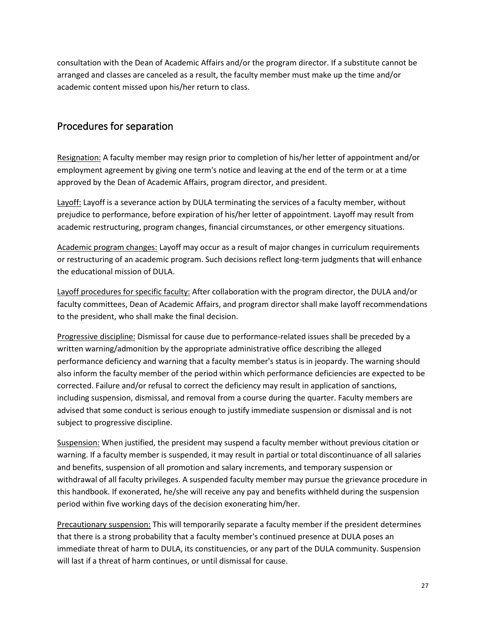consultation with the Dean of Academic Affairs and/or the program director. If a substitute cannot be arranged and classes are canceled as a result, the faculty member must make up the time and/or academic content missed upon his/her return to class.

## <span id="page-26-0"></span>Procedures for separation

Resignation: A faculty member may resign prior to completion of his/her letter of appointment and/or employment agreement by giving one term's notice and leaving at the end of the term or at a time approved by the Dean of Academic Affairs, program director, and president.

Layoff: Layoff is a severance action by DULA terminating the services of a faculty member, without prejudice to performance, before expiration of his/her letter of appointment. Layoff may result from academic restructuring, program changes, financial circumstances, or other emergency situations.

Academic program changes: Layoff may occur as a result of major changes in curriculum requirements or restructuring of an academic program. Such decisions reflect long-term judgments that will enhance the educational mission of DULA.

Layoff procedures for specific faculty: After collaboration with the program director, the DULA and/or faculty committees, Dean of Academic Affairs, and program director shall make layoff recommendations to the president, who shall make the final decision.

Progressive discipline: Dismissal for cause due to performance-related issues shall be preceded by a written warning/admonition by the appropriate administrative office describing the alleged performance deficiency and warning that a faculty member's status is in jeopardy. The warning should also inform the faculty member of the period within which performance deficiencies are expected to be corrected. Failure and/or refusal to correct the deficiency may result in application of sanctions, including suspension, dismissal, and removal from a course during the quarter. Faculty members are advised that some conduct is serious enough to justify immediate suspension or dismissal and is not subject to progressive discipline.

Suspension: When justified, the president may suspend a faculty member without previous citation or warning. If a faculty member is suspended, it may result in partial or total discontinuance of all salaries and benefits, suspension of all promotion and salary increments, and temporary suspension or withdrawal of all faculty privileges. A suspended faculty member may pursue the grievance procedure in this handbook. If exonerated, he/she will receive any pay and benefits withheld during the suspension period within five working days of the decision exonerating him/her.

Precautionary suspension: This will temporarily separate a faculty member if the president determines that there is a strong probability that a faculty member's continued presence at DULA poses an immediate threat of harm to DULA, its constituencies, or any part of the DULA community. Suspension will last if a threat of harm continues, or until dismissal for cause.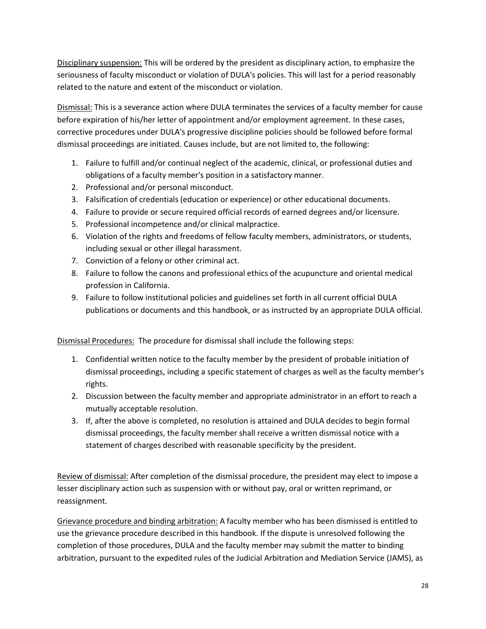Disciplinary suspension: This will be ordered by the president as disciplinary action, to emphasize the seriousness of faculty misconduct or violation of DULA's policies. This will last for a period reasonably related to the nature and extent of the misconduct or violation.

Dismissal: This is a severance action where DULA terminates the services of a faculty member for cause before expiration of his/her letter of appointment and/or employment agreement. In these cases, corrective procedures under DULA's progressive discipline policies should be followed before formal dismissal proceedings are initiated. Causes include, but are not limited to, the following:

- 1. Failure to fulfill and/or continual neglect of the academic, clinical, or professional duties and obligations of a faculty member's position in a satisfactory manner.
- 2. Professional and/or personal misconduct.
- 3. Falsification of credentials (education or experience) or other educational documents.
- 4. Failure to provide or secure required official records of earned degrees and/or licensure.
- 5. Professional incompetence and/or clinical malpractice.
- 6. Violation of the rights and freedoms of fellow faculty members, administrators, or students, including sexual or other illegal harassment.
- 7. Conviction of a felony or other criminal act.
- 8. Failure to follow the canons and professional ethics of the acupuncture and oriental medical profession in California.
- 9. Failure to follow institutional policies and guidelines set forth in all current official DULA publications or documents and this handbook, or as instructed by an appropriate DULA official.

Dismissal Procedures: The procedure for dismissal shall include the following steps:

- 1. Confidential written notice to the faculty member by the president of probable initiation of dismissal proceedings, including a specific statement of charges as well as the faculty member's rights.
- 2. Discussion between the faculty member and appropriate administrator in an effort to reach a mutually acceptable resolution.
- 3. If, after the above is completed, no resolution is attained and DULA decides to begin formal dismissal proceedings, the faculty member shall receive a written dismissal notice with a statement of charges described with reasonable specificity by the president.

Review of dismissal: After completion of the dismissal procedure, the president may elect to impose a lesser disciplinary action such as suspension with or without pay, oral or written reprimand, or reassignment.

Grievance procedure and binding arbitration: A faculty member who has been dismissed is entitled to use the grievance procedure described in this handbook. If the dispute is unresolved following the completion of those procedures, DULA and the faculty member may submit the matter to binding arbitration, pursuant to the expedited rules of the Judicial Arbitration and Mediation Service (JAMS), as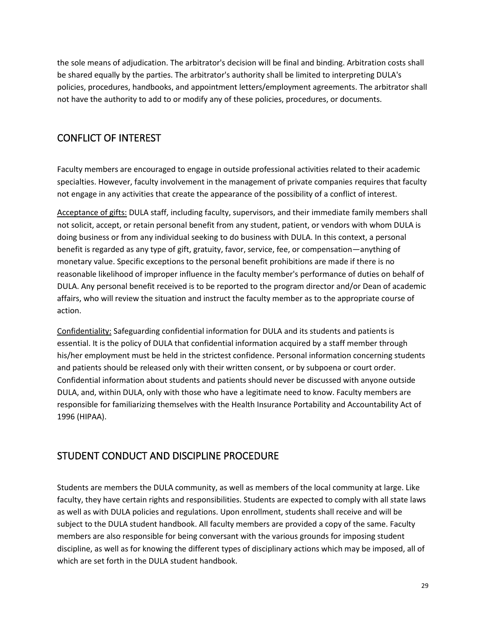the sole means of adjudication. The arbitrator's decision will be final and binding. Arbitration costs shall be shared equally by the parties. The arbitrator's authority shall be limited to interpreting DULA's policies, procedures, handbooks, and appointment letters/employment agreements. The arbitrator shall not have the authority to add to or modify any of these policies, procedures, or documents.

## <span id="page-28-0"></span>CONFLICT OF INTEREST

Faculty members are encouraged to engage in outside professional activities related to their academic specialties. However, faculty involvement in the management of private companies requires that faculty not engage in any activities that create the appearance of the possibility of a conflict of interest.

Acceptance of gifts: DULA staff, including faculty, supervisors, and their immediate family members shall not solicit, accept, or retain personal benefit from any student, patient, or vendors with whom DULA is doing business or from any individual seeking to do business with DULA. In this context, a personal benefit is regarded as any type of gift, gratuity, favor, service, fee, or compensation—anything of monetary value. Specific exceptions to the personal benefit prohibitions are made if there is no reasonable likelihood of improper influence in the faculty member's performance of duties on behalf of DULA. Any personal benefit received is to be reported to the program director and/or Dean of academic affairs, who will review the situation and instruct the faculty member as to the appropriate course of action.

Confidentiality: Safeguarding confidential information for DULA and its students and patients is essential. It is the policy of DULA that confidential information acquired by a staff member through his/her employment must be held in the strictest confidence. Personal information concerning students and patients should be released only with their written consent, or by subpoena or court order. Confidential information about students and patients should never be discussed with anyone outside DULA, and, within DULA, only with those who have a legitimate need to know. Faculty members are responsible for familiarizing themselves with th[e Health Insurance Portability and Accountability Act of](http://www.cms.hhs.gov/hipaa)  [1996 \(HIPAA\).](http://www.cms.hhs.gov/hipaa)

## <span id="page-28-1"></span>STUDENT CONDUCT AND DISCIPLINE PROCEDURE

Students are members the DULA community, as well as members of the local community at large. Like faculty, they have certain rights and responsibilities. Students are expected to comply with all state laws as well as with DULA policies and regulations. Upon enrollment, students shall receive and will be subject to the DULA student handbook. All faculty members are provided a copy of the same. Faculty members are also responsible for being conversant with the various grounds for imposing student discipline, as well as for knowing the different types of disciplinary actions which may be imposed, all of which are set forth in the DULA student handbook.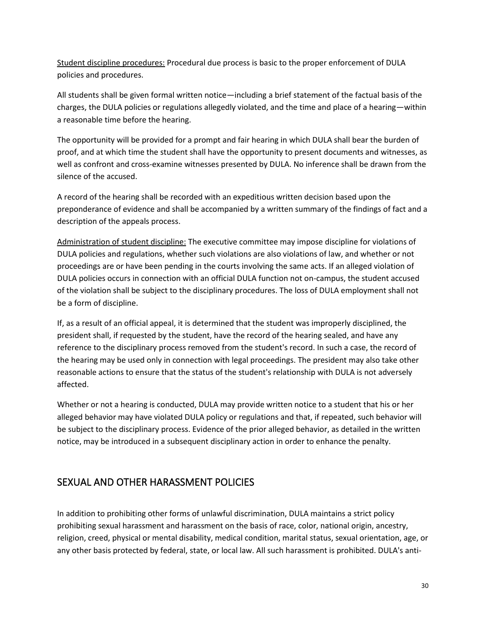Student discipline procedures: Procedural due process is basic to the proper enforcement of DULA policies and procedures.

All students shall be given formal written notice—including a brief statement of the factual basis of the charges, the DULA policies or regulations allegedly violated, and the time and place of a hearing—within a reasonable time before the hearing.

The opportunity will be provided for a prompt and fair hearing in which DULA shall bear the burden of proof, and at which time the student shall have the opportunity to present documents and witnesses, as well as confront and cross-examine witnesses presented by DULA. No inference shall be drawn from the silence of the accused.

A record of the hearing shall be recorded with an expeditious written decision based upon the preponderance of evidence and shall be accompanied by a written summary of the findings of fact and a description of the appeals process.

Administration of student discipline: The executive committee may impose discipline for violations of DULA policies and regulations, whether such violations are also violations of law, and whether or not proceedings are or have been pending in the courts involving the same acts. If an alleged violation of DULA policies occurs in connection with an official DULA function not on-campus, the student accused of the violation shall be subject to the disciplinary procedures. The loss of DULA employment shall not be a form of discipline.

If, as a result of an official appeal, it is determined that the student was improperly disciplined, the president shall, if requested by the student, have the record of the hearing sealed, and have any reference to the disciplinary process removed from the student's record. In such a case, the record of the hearing may be used only in connection with legal proceedings. The president may also take other reasonable actions to ensure that the status of the student's relationship with DULA is not adversely affected.

Whether or not a hearing is conducted, DULA may provide written notice to a student that his or her alleged behavior may have violated DULA policy or regulations and that, if repeated, such behavior will be subject to the disciplinary process. Evidence of the prior alleged behavior, as detailed in the written notice, may be introduced in a subsequent disciplinary action in order to enhance the penalty.

## <span id="page-29-0"></span>SEXUAL AND OTHER HARASSMENT POLICIES

In addition to prohibiting other forms of unlawful discrimination, DULA maintains a strict policy prohibiting sexual harassment and harassment on the basis of race, color, national origin, ancestry, religion, creed, physical or mental disability, medical condition, marital status, sexual orientation, age, or any other basis protected by federal, state, or local law. All such harassment is prohibited. DULA's anti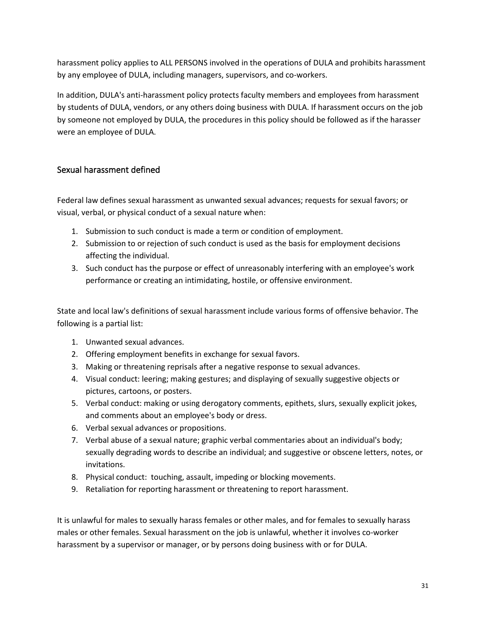harassment policy applies to ALL PERSONS involved in the operations of DULA and prohibits harassment by any employee of DULA, including managers, supervisors, and co-workers.

In addition, DULA's anti-harassment policy protects faculty members and employees from harassment by students of DULA, vendors, or any others doing business with DULA. If harassment occurs on the job by someone not employed by DULA, the procedures in this policy should be followed as if the harasser were an employee of DULA.

## <span id="page-30-0"></span>Sexual harassment defined

Federal law defines sexual harassment as unwanted sexual advances; requests for sexual favors; or visual, verbal, or physical conduct of a sexual nature when:

- 1. Submission to such conduct is made a term or condition of employment.
- 2. Submission to or rejection of such conduct is used as the basis for employment decisions affecting the individual.
- 3. Such conduct has the purpose or effect of unreasonably interfering with an employee's work performance or creating an intimidating, hostile, or offensive environment.

State and local law's definitions of sexual harassment include various forms of offensive behavior. The following is a partial list:

- 1. Unwanted sexual advances.
- 2. Offering employment benefits in exchange for sexual favors.
- 3. Making or threatening reprisals after a negative response to sexual advances.
- 4. Visual conduct: leering; making gestures; and displaying of sexually suggestive objects or pictures, cartoons, or posters.
- 5. Verbal conduct: making or using derogatory comments, epithets, slurs, sexually explicit jokes, and comments about an employee's body or dress.
- 6. Verbal sexual advances or propositions.
- 7. Verbal abuse of a sexual nature; graphic verbal commentaries about an individual's body; sexually degrading words to describe an individual; and suggestive or obscene letters, notes, or invitations.
- 8. Physical conduct: touching, assault, impeding or blocking movements.
- 9. Retaliation for reporting harassment or threatening to report harassment.

It is unlawful for males to sexually harass females or other males, and for females to sexually harass males or other females. Sexual harassment on the job is unlawful, whether it involves co-worker harassment by a supervisor or manager, or by persons doing business with or for DULA.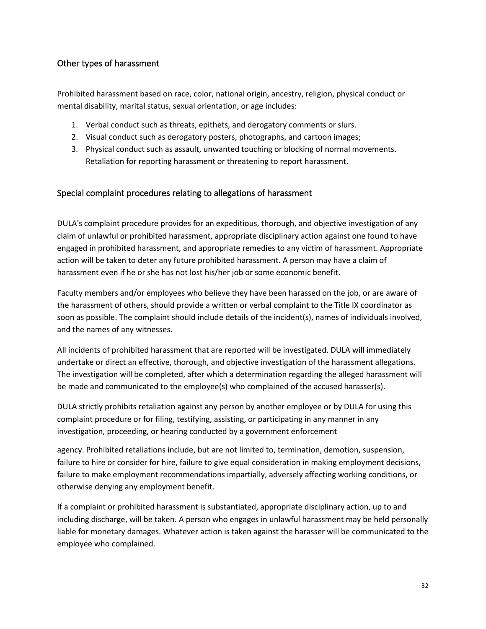## <span id="page-31-0"></span>Other types of harassment

Prohibited harassment based on race, color, national origin, ancestry, religion, physical conduct or mental disability, marital status, sexual orientation, or age includes:

- 1. Verbal conduct such as threats, epithets, and derogatory comments or slurs.
- 2. Visual conduct such as derogatory posters, photographs, and cartoon images;
- 3. Physical conduct such as assault, unwanted touching or blocking of normal movements. Retaliation for reporting harassment or threatening to report harassment.

## <span id="page-31-1"></span>Special complaint procedures relating to allegations of harassment

DULA's complaint procedure provides for an expeditious, thorough, and objective investigation of any claim of unlawful or prohibited harassment, appropriate disciplinary action against one found to have engaged in prohibited harassment, and appropriate remedies to any victim of harassment. Appropriate action will be taken to deter any future prohibited harassment. A person may have a claim of harassment even if he or she has not lost his/her job or some economic benefit.

Faculty members and/or employees who believe they have been harassed on the job, or are aware of the harassment of others, should provide a written or verbal complaint to the Title IX coordinator as soon as possible. The complaint should include details of the incident(s), names of individuals involved, and the names of any witnesses.

All incidents of prohibited harassment that are reported will be investigated. DULA will immediately undertake or direct an effective, thorough, and objective investigation of the harassment allegations. The investigation will be completed, after which a determination regarding the alleged harassment will be made and communicated to the employee(s) who complained of the accused harasser(s).

DULA strictly prohibits retaliation against any person by another employee or by DULA for using this complaint procedure or for filing, testifying, assisting, or participating in any manner in any investigation, proceeding, or hearing conducted by a government enforcement

agency. Prohibited retaliations include, but are not limited to, termination, demotion, suspension, failure to hire or consider for hire, failure to give equal consideration in making employment decisions, failure to make employment recommendations impartially, adversely affecting working conditions, or otherwise denying any employment benefit.

If a complaint or prohibited harassment is substantiated, appropriate disciplinary action, up to and including discharge, will be taken. A person who engages in unlawful harassment may be held personally liable for monetary damages. Whatever action is taken against the harasser will be communicated to the employee who complained.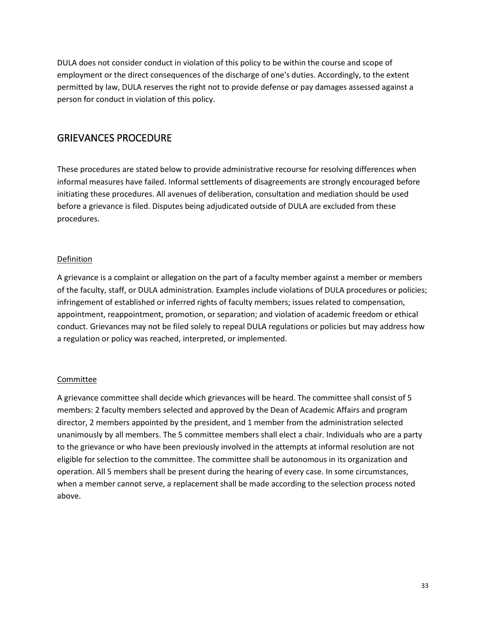DULA does not consider conduct in violation of this policy to be within the course and scope of employment or the direct consequences of the discharge of one's duties. Accordingly, to the extent permitted by law, DULA reserves the right not to provide defense or pay damages assessed against a person for conduct in violation of this policy.

## <span id="page-32-0"></span>GRIEVANCES PROCEDURE

These procedures are stated below to provide administrative recourse for resolving differences when informal measures have failed. Informal settlements of disagreements are strongly encouraged before initiating these procedures. All avenues of deliberation, consultation and mediation should be used before a grievance is filed. Disputes being adjudicated outside of DULA are excluded from these procedures.

## Definition

A grievance is a complaint or allegation on the part of a faculty member against a member or members of the faculty, staff, or DULA administration. Examples include violations of DULA procedures or policies; infringement of established or inferred rights of faculty members; issues related to compensation, appointment, reappointment, promotion, or separation; and violation of academic freedom or ethical conduct. Grievances may not be filed solely to repeal DULA regulations or policies but may address how a regulation or policy was reached, interpreted, or implemented.

## Committee

A grievance committee shall decide which grievances will be heard. The committee shall consist of 5 members: 2 faculty members selected and approved by the Dean of Academic Affairs and program director, 2 members appointed by the president, and 1 member from the administration selected unanimously by all members. The 5 committee members shall elect a chair. Individuals who are a party to the grievance or who have been previously involved in the attempts at informal resolution are not eligible for selection to the committee. The committee shall be autonomous in its organization and operation. All 5 members shall be present during the hearing of every case. In some circumstances, when a member cannot serve, a replacement shall be made according to the selection process noted above.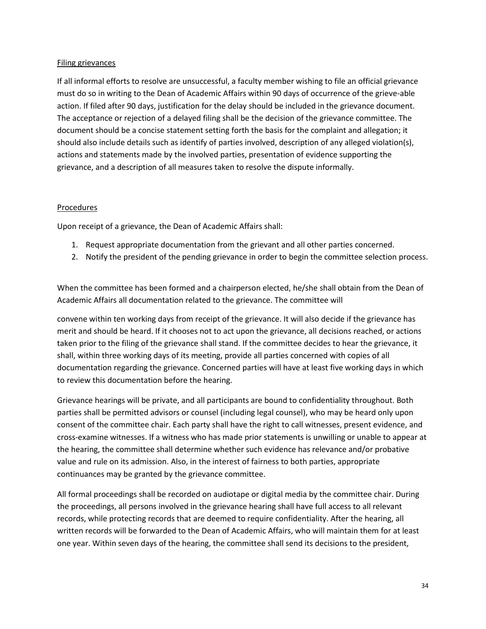## Filing grievances

If all informal efforts to resolve are unsuccessful, a faculty member wishing to file an official grievance must do so in writing to the Dean of Academic Affairs within 90 days of occurrence of the grieve-able action. If filed after 90 days, justification for the delay should be included in the grievance document. The acceptance or rejection of a delayed filing shall be the decision of the grievance committee. The document should be a concise statement setting forth the basis for the complaint and allegation; it should also include details such as identify of parties involved, description of any alleged violation(s), actions and statements made by the involved parties, presentation of evidence supporting the grievance, and a description of all measures taken to resolve the dispute informally.

## Procedures

Upon receipt of a grievance, the Dean of Academic Affairs shall:

- 1. Request appropriate documentation from the grievant and all other parties concerned.
- 2. Notify the president of the pending grievance in order to begin the committee selection process.

When the committee has been formed and a chairperson elected, he/she shall obtain from the Dean of Academic Affairs all documentation related to the grievance. The committee will

convene within ten working days from receipt of the grievance. It will also decide if the grievance has merit and should be heard. If it chooses not to act upon the grievance, all decisions reached, or actions taken prior to the filing of the grievance shall stand. If the committee decides to hear the grievance, it shall, within three working days of its meeting, provide all parties concerned with copies of all documentation regarding the grievance. Concerned parties will have at least five working days in which to review this documentation before the hearing.

Grievance hearings will be private, and all participants are bound to confidentiality throughout. Both parties shall be permitted advisors or counsel (including legal counsel), who may be heard only upon consent of the committee chair. Each party shall have the right to call witnesses, present evidence, and cross-examine witnesses. If a witness who has made prior statements is unwilling or unable to appear at the hearing, the committee shall determine whether such evidence has relevance and/or probative value and rule on its admission. Also, in the interest of fairness to both parties, appropriate continuances may be granted by the grievance committee.

All formal proceedings shall be recorded on audiotape or digital media by the committee chair. During the proceedings, all persons involved in the grievance hearing shall have full access to all relevant records, while protecting records that are deemed to require confidentiality. After the hearing, all written records will be forwarded to the Dean of Academic Affairs, who will maintain them for at least one year. Within seven days of the hearing, the committee shall send its decisions to the president,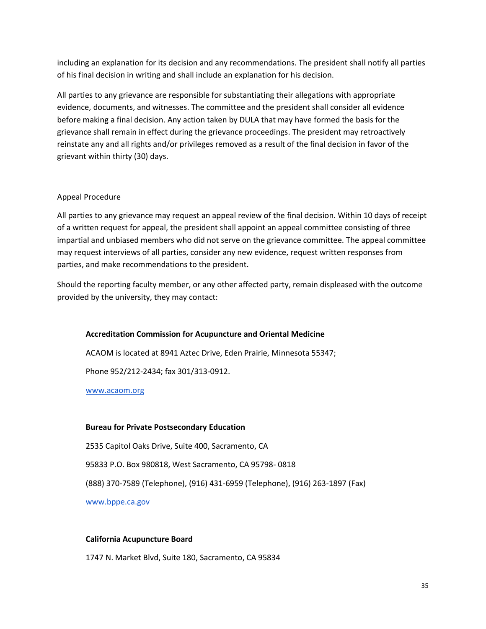including an explanation for its decision and any recommendations. The president shall notify all parties of his final decision in writing and shall include an explanation for his decision.

All parties to any grievance are responsible for substantiating their allegations with appropriate evidence, documents, and witnesses. The committee and the president shall consider all evidence before making a final decision. Any action taken by DULA that may have formed the basis for the grievance shall remain in effect during the grievance proceedings. The president may retroactively reinstate any and all rights and/or privileges removed as a result of the final decision in favor of the grievant within thirty (30) days.

#### Appeal Procedure

All parties to any grievance may request an appeal review of the final decision. Within 10 days of receipt of a written request for appeal, the president shall appoint an appeal committee consisting of three impartial and unbiased members who did not serve on the grievance committee. The appeal committee may request interviews of all parties, consider any new evidence, request written responses from parties, and make recommendations to the president.

Should the reporting faculty member, or any other affected party, remain displeased with the outcome provided by the university, they may contact:

#### **Accreditation Commission for Acupuncture and Oriental Medicine**

ACAOM is located at 8941 Aztec Drive, Eden Prairie, Minnesota 55347;

Phone 952/212-2434; fax 301/313-0912.

www.acaom.org

#### **Bureau for Private Postsecondary Education**

2535 Capitol Oaks Drive, Suite 400, Sacramento, CA

95833 P.O. Box 980818, West Sacramento, CA 95798- 0818

(888) 370-7589 (Telephone), (916) 431-6959 (Telephone), (916) 263-1897 (Fax)

www.bppe.ca.gov

#### **California Acupuncture Board**

1747 N. Market Blvd, Suite 180, Sacramento, CA 95834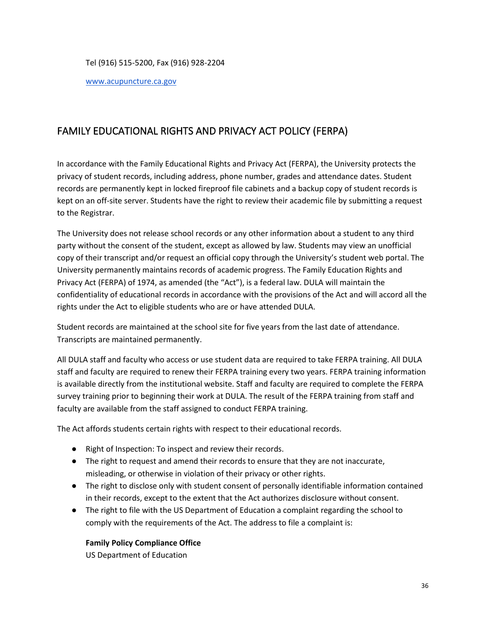#### Tel (916) 515-5200, Fax (916) 928-2204

#### www.acupuncture.ca.gov

## <span id="page-35-0"></span>FAMILY EDUCATIONAL RIGHTS AND PRIVACY ACT POLICY (FERPA)

In accordance with the Family Educational Rights and Privacy Act (FERPA), the University protects the privacy of student records, including address, phone number, grades and attendance dates. Student records are permanently kept in locked fireproof file cabinets and a backup copy of student records is kept on an off-site server. Students have the right to review their academic file by submitting a request to the Registrar.

The University does not release school records or any other information about a student to any third party without the consent of the student, except as allowed by law. Students may view an unofficial copy of their transcript and/or request an official copy through the University's student web portal. The University permanently maintains records of academic progress. The Family Education Rights and Privacy Act (FERPA) of 1974, as amended (the "Act"), is a federal law. DULA will maintain the confidentiality of educational records in accordance with the provisions of the Act and will accord all the rights under the Act to eligible students who are or have attended DULA.

Student records are maintained at the school site for five years from the last date of attendance. Transcripts are maintained permanently.

All DULA staff and faculty who access or use student data are required to take FERPA training. All DULA staff and faculty are required to renew their FERPA training every two years. FERPA training information is available directly from the institutional website. Staff and faculty are required to complete the FERPA survey training prior to beginning their work at DULA. The result of the FERPA training from staff and faculty are available from the staff assigned to conduct FERPA training.

The Act affords students certain rights with respect to their educational records.

- Right of Inspection: To inspect and review their records.
- The right to request and amend their records to ensure that they are not inaccurate, misleading, or otherwise in violation of their privacy or other rights.
- The right to disclose only with student consent of personally identifiable information contained in their records, except to the extent that the Act authorizes disclosure without consent.
- The right to file with the US Department of Education a complaint regarding the school to comply with the requirements of the Act. The address to file a complaint is:

## **Family Policy Compliance Office**

US Department of Education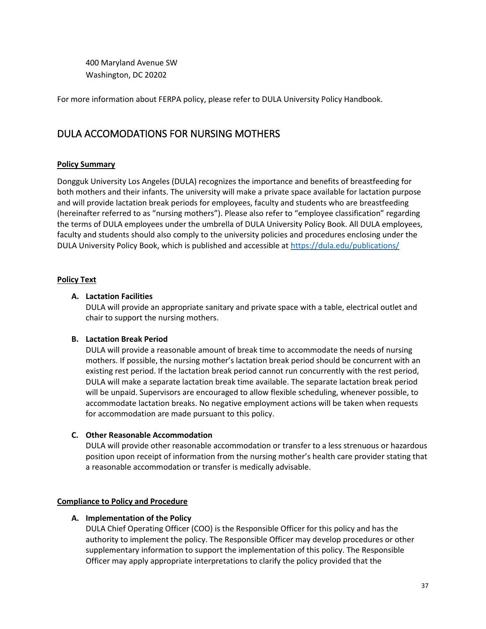400 Maryland Avenue SW Washington, DC 20202

For more information about FERPA policy, please refer to DULA University Policy Handbook.

## <span id="page-36-0"></span>DULA ACCOMODATIONS FOR NURSING MOTHERS

## **Policy Summary**

Dongguk University Los Angeles (DULA) recognizes the importance and benefits of breastfeeding for both mothers and their infants. The university will make a private space available for lactation purpose and will provide lactation break periods for employees, faculty and students who are breastfeeding (hereinafter referred to as "nursing mothers"). Please also refer to "employee classification" regarding the terms of DULA employees under the umbrella of DULA University Policy Book. All DULA employees, faculty and students should also comply to the university policies and procedures enclosing under the DULA University Policy Book, which is published and accessible at<https://dula.edu/publications/>

## **Policy Text**

## **A. Lactation Facilities**

DULA will provide an appropriate sanitary and private space with a table, electrical outlet and chair to support the nursing mothers.

## **B. Lactation Break Period**

DULA will provide a reasonable amount of break time to accommodate the needs of nursing mothers. If possible, the nursing mother's lactation break period should be concurrent with an existing rest period. If the lactation break period cannot run concurrently with the rest period, DULA will make a separate lactation break time available. The separate lactation break period will be unpaid. Supervisors are encouraged to allow flexible scheduling, whenever possible, to accommodate lactation breaks. No negative employment actions will be taken when requests for accommodation are made pursuant to this policy.

## **C. Other Reasonable Accommodation**

DULA will provide other reasonable accommodation or transfer to a less strenuous or hazardous position upon receipt of information from the nursing mother's health care provider stating that a reasonable accommodation or transfer is medically advisable.

## **Compliance to Policy and Procedure**

## **A. Implementation of the Policy**

DULA Chief Operating Officer (COO) is the Responsible Officer for this policy and has the authority to implement the policy. The Responsible Officer may develop procedures or other supplementary information to support the implementation of this policy. The Responsible Officer may apply appropriate interpretations to clarify the policy provided that the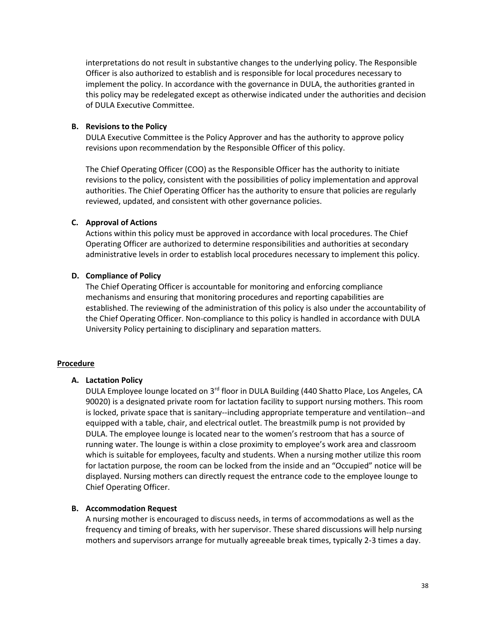interpretations do not result in substantive changes to the underlying policy. The Responsible Officer is also authorized to establish and is responsible for local procedures necessary to implement the policy. In accordance with the governance in DULA, the authorities granted in this policy may be redelegated except as otherwise indicated under the authorities and decision of DULA Executive Committee.

#### **B. Revisions to the Policy**

DULA Executive Committee is the Policy Approver and has the authority to approve policy revisions upon recommendation by the Responsible Officer of this policy.

The Chief Operating Officer (COO) as the Responsible Officer has the authority to initiate revisions to the policy, consistent with the possibilities of policy implementation and approval authorities. The Chief Operating Officer has the authority to ensure that policies are regularly reviewed, updated, and consistent with other governance policies.

## **C. Approval of Actions**

Actions within this policy must be approved in accordance with local procedures. The Chief Operating Officer are authorized to determine responsibilities and authorities at secondary administrative levels in order to establish local procedures necessary to implement this policy.

## **D. Compliance of Policy**

The Chief Operating Officer is accountable for monitoring and enforcing compliance mechanisms and ensuring that monitoring procedures and reporting capabilities are established. The reviewing of the administration of this policy is also under the accountability of the Chief Operating Officer. Non-compliance to this policy is handled in accordance with DULA University Policy pertaining to disciplinary and separation matters.

## **Procedure**

## **A. Lactation Policy**

DULA Employee lounge located on  $3<sup>rd</sup>$  floor in DULA Building (440 Shatto Place, Los Angeles, CA 90020) is a designated private room for lactation facility to support nursing mothers. This room is locked, private space that is sanitary--including appropriate temperature and ventilation--and equipped with a table, chair, and electrical outlet. The breastmilk pump is not provided by DULA. The employee lounge is located near to the women's restroom that has a source of running water. The lounge is within a close proximity to employee's work area and classroom which is suitable for employees, faculty and students. When a nursing mother utilize this room for lactation purpose, the room can be locked from the inside and an "Occupied" notice will be displayed. Nursing mothers can directly request the entrance code to the employee lounge to Chief Operating Officer.

## **B. Accommodation Request**

A nursing mother is encouraged to discuss needs, in terms of accommodations as well as the frequency and timing of breaks, with her supervisor. These shared discussions will help nursing mothers and supervisors arrange for mutually agreeable break times, typically 2-3 times a day.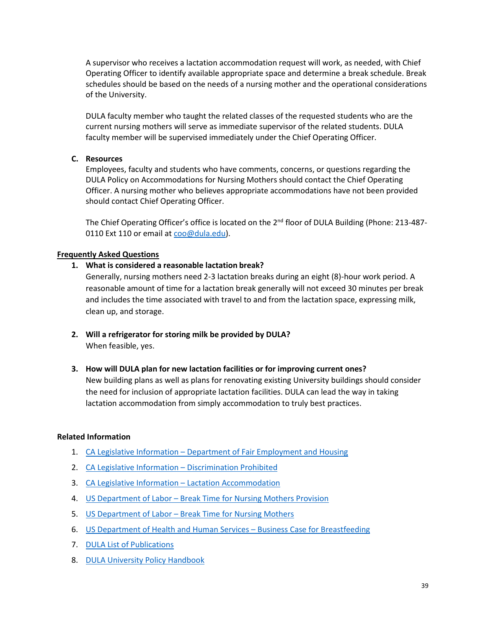A supervisor who receives a lactation accommodation request will work, as needed, with Chief Operating Officer to identify available appropriate space and determine a break schedule. Break schedules should be based on the needs of a nursing mother and the operational considerations of the University.

DULA faculty member who taught the related classes of the requested students who are the current nursing mothers will serve as immediate supervisor of the related students. DULA faculty member will be supervised immediately under the Chief Operating Officer.

## **C. Resources**

Employees, faculty and students who have comments, concerns, or questions regarding the DULA Policy on Accommodations for Nursing Mothers should contact the Chief Operating Officer. A nursing mother who believes appropriate accommodations have not been provided should contact Chief Operating Officer.

The Chief Operating Officer's office is located on the 2<sup>nd</sup> floor of DULA Building (Phone: 213-4870110 Ext 110 or email at [coo@dula.edu\)](mailto:coo@dula.edu).

#### **Frequently Asked Questions**

#### **1. What is considered a reasonable lactation break?**

Generally, nursing mothers need 2-3 lactation breaks during an eight (8)-hour work period. A reasonable amount of time for a lactation break generally will not exceed 30 minutes per break and includes the time associated with travel to and from the lactation space, expressing milk, clean up, and storage.

**2. Will a refrigerator for storing milk be provided by DULA?** When feasible, yes.

#### **3. How will DULA plan for new lactation facilities or for improving current ones?**

New building plans as well as plans for renovating existing University buildings should consider the need for inclusion of appropriate lactation facilities. DULA can lead the way in taking lactation accommodation from simply accommodation to truly best practices.

## **Related Information**

- 1. CA Legislative Information [Department of Fair Employment and Housing](http://leginfo.legislature.ca.gov/faces/codes_displaySection.xhtml?lawCode=GOV§ionNum=12926)
- 2. [CA Legislative Information](http://leginfo.legislature.ca.gov/faces/codes_displaySection.xhtml?lawCode=GOV§ionNum=12945)  Discrimination Prohibited
- 3. [CA Legislative Information](http://leginfo.legislature.ca.gov/faces/codes_displaySection.xhtml?lawCode=LAB§ionNum=1030)  Lactation Accommodation
- 4. US Department of Labor [Break Time for Nursing Mothers Provision](https://www.dol.gov/agencies/whd/nursing-mothers/law)
- 5. US Department of Labor [Break Time for Nursing Mothers](https://www.dol.gov/agencies/whd/nursing-mothers/law)
- 6. [US Department of Health and Human Services](https://www.womenshealth.gov/breastfeeding/breastfeeding-home-work-and-public/breastfeeding-and-going-back-work/business-case)  Business Case for Breastfeeding
- 7. [DULA List of Publications](https://dula.edu/publications/)
- 8. [DULA University Policy Handbook](https://www.dula.edu/dula-university-policy-book/)